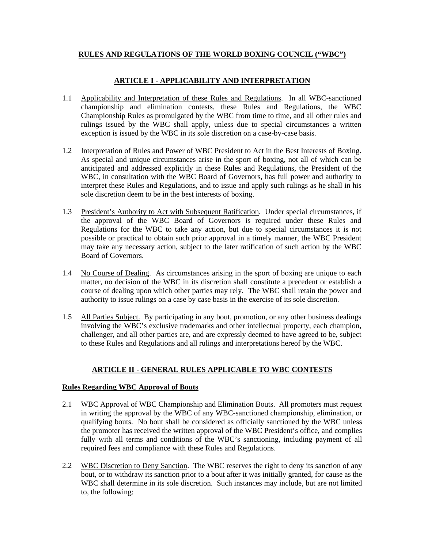### **RULES AND REGULATIONS OF THE WORLD BOXING COUNCIL ("WBC")**

# **ARTICLE I - APPLICABILITY AND INTERPRETATION**

- 1.1 Applicability and Interpretation of these Rules and Regulations. In all WBC-sanctioned championship and elimination contests, these Rules and Regulations, the WBC Championship Rules as promulgated by the WBC from time to time, and all other rules and rulings issued by the WBC shall apply, unless due to special circumstances a written exception is issued by the WBC in its sole discretion on a case-by-case basis.
- 1.2 Interpretation of Rules and Power of WBC President to Act in the Best Interests of Boxing. As special and unique circumstances arise in the sport of boxing, not all of which can be anticipated and addressed explicitly in these Rules and Regulations, the President of the WBC, in consultation with the WBC Board of Governors, has full power and authority to interpret these Rules and Regulations, and to issue and apply such rulings as he shall in his sole discretion deem to be in the best interests of boxing.
- 1.3 President's Authority to Act with Subsequent Ratification. Under special circumstances, if the approval of the WBC Board of Governors is required under these Rules and Regulations for the WBC to take any action, but due to special circumstances it is not possible or practical to obtain such prior approval in a timely manner, the WBC President may take any necessary action, subject to the later ratification of such action by the WBC Board of Governors.
- 1.4 No Course of Dealing. As circumstances arising in the sport of boxing are unique to each matter, no decision of the WBC in its discretion shall constitute a precedent or establish a course of dealing upon which other parties may rely. The WBC shall retain the power and authority to issue rulings on a case by case basis in the exercise of its sole discretion.
- 1.5 All Parties Subject. By participating in any bout, promotion, or any other business dealings involving the WBC's exclusive trademarks and other intellectual property, each champion, challenger, and all other parties are, and are expressly deemed to have agreed to be, subject to these Rules and Regulations and all rulings and interpretations hereof by the WBC.

# **ARTICLE II - GENERAL RULES APPLICABLE TO WBC CONTESTS**

# **Rules Regarding WBC Approval of Bouts**

- 2.1 WBC Approval of WBC Championship and Elimination Bouts. All promoters must request in writing the approval by the WBC of any WBC-sanctioned championship, elimination, or qualifying bouts. No bout shall be considered as officially sanctioned by the WBC unless the promoter has received the written approval of the WBC President's office, and complies fully with all terms and conditions of the WBC's sanctioning, including payment of all required fees and compliance with these Rules and Regulations.
- 2.2 WBC Discretion to Deny Sanction. The WBC reserves the right to deny its sanction of any bout, or to withdraw its sanction prior to a bout after it was initially granted, for cause as the WBC shall determine in its sole discretion. Such instances may include, but are not limited to, the following: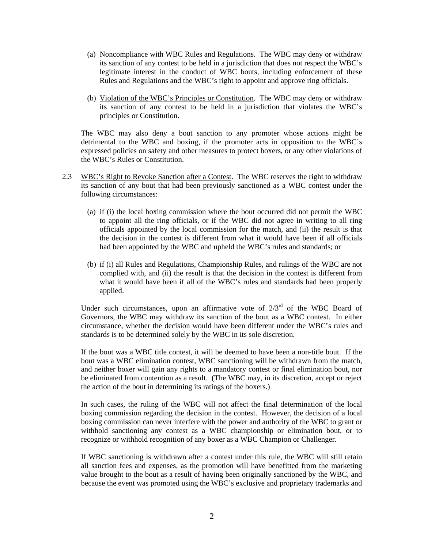- (a) Noncompliance with WBC Rules and Regulations. The WBC may deny or withdraw its sanction of any contest to be held in a jurisdiction that does not respect the WBC's legitimate interest in the conduct of WBC bouts, including enforcement of these Rules and Regulations and the WBC's right to appoint and approve ring officials.
- (b) Violation of the WBC's Principles or Constitution. The WBC may deny or withdraw its sanction of any contest to be held in a jurisdiction that violates the WBC's principles or Constitution.

 The WBC may also deny a bout sanction to any promoter whose actions might be detrimental to the WBC and boxing, if the promoter acts in opposition to the WBC's expressed policies on safety and other measures to protect boxers, or any other violations of the WBC's Rules or Constitution.

- 2.3 WBC's Right to Revoke Sanction after a Contest. The WBC reserves the right to withdraw its sanction of any bout that had been previously sanctioned as a WBC contest under the following circumstances:
	- (a) if (i) the local boxing commission where the bout occurred did not permit the WBC to appoint all the ring officials, or if the WBC did not agree in writing to all ring officials appointed by the local commission for the match, and (ii) the result is that the decision in the contest is different from what it would have been if all officials had been appointed by the WBC and upheld the WBC's rules and standards; or
	- (b) if (i) all Rules and Regulations, Championship Rules, and rulings of the WBC are not complied with, and (ii) the result is that the decision in the contest is different from what it would have been if all of the WBC's rules and standards had been properly applied.

Under such circumstances, upon an affirmative vote of  $2/3<sup>rd</sup>$  of the WBC Board of Governors, the WBC may withdraw its sanction of the bout as a WBC contest. In either circumstance, whether the decision would have been different under the WBC's rules and standards is to be determined solely by the WBC in its sole discretion.

 If the bout was a WBC title contest, it will be deemed to have been a non-title bout. If the bout was a WBC elimination contest, WBC sanctioning will be withdrawn from the match, and neither boxer will gain any rights to a mandatory contest or final elimination bout, nor be eliminated from contention as a result. (The WBC may, in its discretion, accept or reject the action of the bout in determining its ratings of the boxers.)

 In such cases, the ruling of the WBC will not affect the final determination of the local boxing commission regarding the decision in the contest. However, the decision of a local boxing commission can never interfere with the power and authority of the WBC to grant or withhold sanctioning any contest as a WBC championship or elimination bout, or to recognize or withhold recognition of any boxer as a WBC Champion or Challenger.

 If WBC sanctioning is withdrawn after a contest under this rule, the WBC will still retain all sanction fees and expenses, as the promotion will have benefitted from the marketing value brought to the bout as a result of having been originally sanctioned by the WBC, and because the event was promoted using the WBC's exclusive and proprietary trademarks and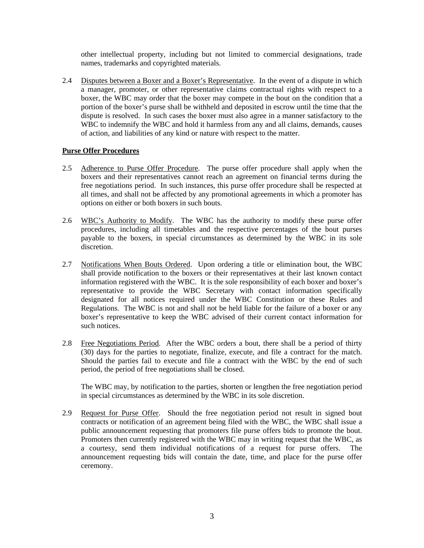other intellectual property, including but not limited to commercial designations, trade names, trademarks and copyrighted materials.

2.4 Disputes between a Boxer and a Boxer's Representative. In the event of a dispute in which a manager, promoter, or other representative claims contractual rights with respect to a boxer, the WBC may order that the boxer may compete in the bout on the condition that a portion of the boxer's purse shall be withheld and deposited in escrow until the time that the dispute is resolved. In such cases the boxer must also agree in a manner satisfactory to the WBC to indemnify the WBC and hold it harmless from any and all claims, demands, causes of action, and liabilities of any kind or nature with respect to the matter.

### **Purse Offer Procedures**

- 2.5 Adherence to Purse Offer Procedure. The purse offer procedure shall apply when the boxers and their representatives cannot reach an agreement on financial terms during the free negotiations period. In such instances, this purse offer procedure shall be respected at all times, and shall not be affected by any promotional agreements in which a promoter has options on either or both boxers in such bouts.
- 2.6 WBC's Authority to Modify. The WBC has the authority to modify these purse offer procedures, including all timetables and the respective percentages of the bout purses payable to the boxers, in special circumstances as determined by the WBC in its sole discretion.
- 2.7 Notifications When Bouts Ordered. Upon ordering a title or elimination bout, the WBC shall provide notification to the boxers or their representatives at their last known contact information registered with the WBC. It is the sole responsibility of each boxer and boxer's representative to provide the WBC Secretary with contact information specifically designated for all notices required under the WBC Constitution or these Rules and Regulations. The WBC is not and shall not be held liable for the failure of a boxer or any boxer's representative to keep the WBC advised of their current contact information for such notices.
- 2.8 Free Negotiations Period. After the WBC orders a bout, there shall be a period of thirty (30) days for the parties to negotiate, finalize, execute, and file a contract for the match. Should the parties fail to execute and file a contract with the WBC by the end of such period, the period of free negotiations shall be closed.

 The WBC may, by notification to the parties, shorten or lengthen the free negotiation period in special circumstances as determined by the WBC in its sole discretion.

2.9 Request for Purse Offer. Should the free negotiation period not result in signed bout contracts or notification of an agreement being filed with the WBC, the WBC shall issue a public announcement requesting that promoters file purse offers bids to promote the bout. Promoters then currently registered with the WBC may in writing request that the WBC, as a courtesy, send them individual notifications of a request for purse offers. The announcement requesting bids will contain the date, time, and place for the purse offer ceremony.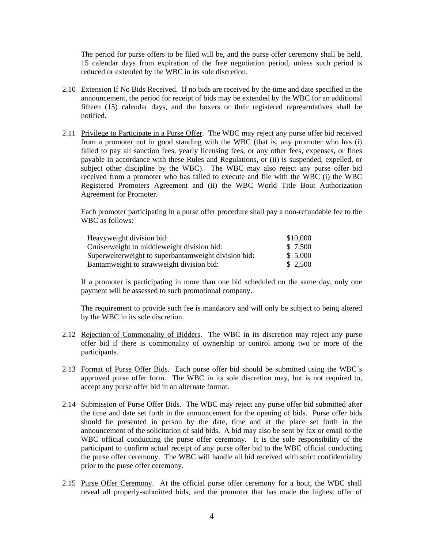The period for purse offers to be filed will be, and the purse offer ceremony shall be held, 15 calendar days from expiration of the free negotiation period, unless such period is reduced or extended by the WBC in its sole discretion.

- 2.10 Extension If No Bids Received. If no bids are received by the time and date specified in the announcement, the period for receipt of bids may be extended by the WBC for an additional fifteen (15) calendar days, and the boxers or their registered representatives shall be notified.
- 2.11 Privilege to Participate in a Purse Offer. The WBC may reject any purse offer bid received from a promoter not in good standing with the WBC (that is, any promoter who has (i) failed to pay all sanction fees, yearly licensing fees, or any other fees, expenses, or fines payable in accordance with these Rules and Regulations, or (ii) is suspended, expelled, or subject other discipline by the WBC). The WBC may also reject any purse offer bid received from a promoter who has failed to execute and file with the WBC (i) the WBC Registered Promoters Agreement and (ii) the WBC World Title Bout Authorization Agreement for Promoter.

 Each promoter participating in a purse offer procedure shall pay a non-refundable fee to the WBC as follows:

| Heavyweight division bid:                            | \$10,000 |
|------------------------------------------------------|----------|
| Cruiserweight to middleweight division bid:          | \$7,500  |
| Superwelterweight to superbantamweight division bid: | \$5,000  |
| Bantamweight to strawweight division bid:            | \$2,500  |

 If a promoter is participating in more than one bid scheduled on the same day, only one payment will be assessed to such promotional company.

 The requirement to provide such fee is mandatory and will only be subject to being altered by the WBC in its sole discretion.

- 2.12 Rejection of Commonality of Bidders. The WBC in its discretion may reject any purse offer bid if there is commonality of ownership or control among two or more of the participants.
- 2.13 Format of Purse Offer Bids. Each purse offer bid should be submitted using the WBC's approved purse offer form. The WBC in its sole discretion may, but is not required to, accept any purse offer bid in an alternate format.
- 2.14 Submission of Purse Offer Bids. The WBC may reject any purse offer bid submitted after the time and date set forth in the announcement for the opening of bids. Purse offer bids should be presented in person by the date, time and at the place set forth in the announcement of the solicitation of said bids. A bid may also be sent by fax or email to the WBC official conducting the purse offer ceremony. It is the sole responsibility of the participant to confirm actual receipt of any purse offer bid to the WBC official conducting the purse offer ceremony. The WBC will handle all bid received with strict confidentiality prior to the purse offer ceremony.
- 2.15 Purse Offer Ceremony. At the official purse offer ceremony for a bout, the WBC shall reveal all properly-submitted bids, and the promoter that has made the highest offer of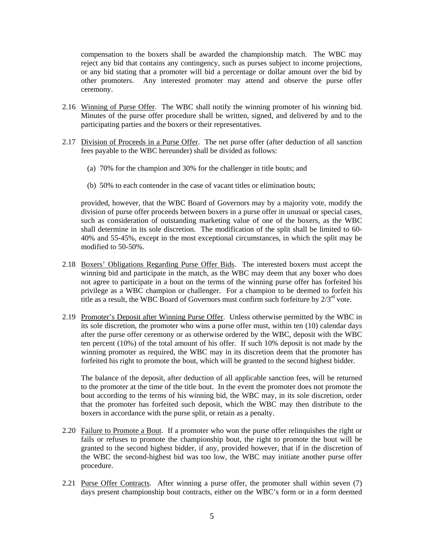compensation to the boxers shall be awarded the championship match. The WBC may reject any bid that contains any contingency, such as purses subject to income projections, or any bid stating that a promoter will bid a percentage or dollar amount over the bid by other promoters. Any interested promoter may attend and observe the purse offer ceremony.

- 2.16 Winning of Purse Offer. The WBC shall notify the winning promoter of his winning bid. Minutes of the purse offer procedure shall be written, signed, and delivered by and to the participating parties and the boxers or their representatives.
- 2.17 Division of Proceeds in a Purse Offer. The net purse offer (after deduction of all sanction fees payable to the WBC hereunder) shall be divided as follows:
	- (a) 70% for the champion and 30% for the challenger in title bouts; and
	- (b) 50% to each contender in the case of vacant titles or elimination bouts;

provided, however, that the WBC Board of Governors may by a majority vote, modify the division of purse offer proceeds between boxers in a purse offer in unusual or special cases, such as consideration of outstanding marketing value of one of the boxers, as the WBC shall determine in its sole discretion. The modification of the split shall be limited to 60- 40% and 55-45%, except in the most exceptional circumstances, in which the split may be modified to 50-50%.

- 2.18 Boxers' Obligations Regarding Purse Offer Bids. The interested boxers must accept the winning bid and participate in the match, as the WBC may deem that any boxer who does not agree to participate in a bout on the terms of the winning purse offer has forfeited his privilege as a WBC champion or challenger. For a champion to be deemed to forfeit his title as a result, the WBC Board of Governors must confirm such forfeiture by  $2/3<sup>rd</sup>$  vote.
- 2.19 Promoter's Deposit after Winning Purse Offer. Unless otherwise permitted by the WBC in its sole discretion, the promoter who wins a purse offer must, within ten (10) calendar days after the purse offer ceremony or as otherwise ordered by the WBC, deposit with the WBC ten percent (10%) of the total amount of his offer. If such 10% deposit is not made by the winning promoter as required, the WBC may in its discretion deem that the promoter has forfeited his right to promote the bout, which will be granted to the second highest bidder.

 The balance of the deposit, after deduction of all applicable sanction fees, will be returned to the promoter at the time of the title bout. In the event the promoter does not promote the bout according to the terms of his winning bid, the WBC may, in its sole discretion, order that the promoter has forfeited such deposit, which the WBC may then distribute to the boxers in accordance with the purse split, or retain as a penalty.

- 2.20 Failure to Promote a Bout. If a promoter who won the purse offer relinquishes the right or fails or refuses to promote the championship bout, the right to promote the bout will be granted to the second highest bidder, if any, provided however, that if in the discretion of the WBC the second-highest bid was too low, the WBC may initiate another purse offer procedure.
- 2.21 Purse Offer Contracts. After winning a purse offer, the promoter shall within seven (7) days present championship bout contracts, either on the WBC's form or in a form deemed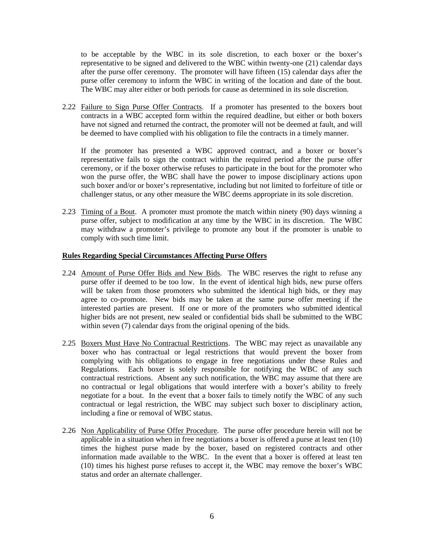to be acceptable by the WBC in its sole discretion, to each boxer or the boxer's representative to be signed and delivered to the WBC within twenty-one (21) calendar days after the purse offer ceremony. The promoter will have fifteen (15) calendar days after the purse offer ceremony to inform the WBC in writing of the location and date of the bout. The WBC may alter either or both periods for cause as determined in its sole discretion.

2.22 Failure to Sign Purse Offer Contracts. If a promoter has presented to the boxers bout contracts in a WBC accepted form within the required deadline, but either or both boxers have not signed and returned the contract, the promoter will not be deemed at fault, and will be deemed to have complied with his obligation to file the contracts in a timely manner.

 If the promoter has presented a WBC approved contract, and a boxer or boxer's representative fails to sign the contract within the required period after the purse offer ceremony, or if the boxer otherwise refuses to participate in the bout for the promoter who won the purse offer, the WBC shall have the power to impose disciplinary actions upon such boxer and/or or boxer's representative, including but not limited to forfeiture of title or challenger status, or any other measure the WBC deems appropriate in its sole discretion.

2.23 Timing of a Bout. A promoter must promote the match within ninety (90) days winning a purse offer, subject to modification at any time by the WBC in its discretion. The WBC may withdraw a promoter's privilege to promote any bout if the promoter is unable to comply with such time limit.

#### **Rules Regarding Special Circumstances Affecting Purse Offers**

- 2.24 Amount of Purse Offer Bids and New Bids. The WBC reserves the right to refuse any purse offer if deemed to be too low. In the event of identical high bids, new purse offers will be taken from those promoters who submitted the identical high bids, or they may agree to co-promote. New bids may be taken at the same purse offer meeting if the interested parties are present. If one or more of the promoters who submitted identical higher bids are not present, new sealed or confidential bids shall be submitted to the WBC within seven (7) calendar days from the original opening of the bids.
- 2.25 Boxers Must Have No Contractual Restrictions. The WBC may reject as unavailable any boxer who has contractual or legal restrictions that would prevent the boxer from complying with his obligations to engage in free negotiations under these Rules and Regulations. Each boxer is solely responsible for notifying the WBC of any such contractual restrictions. Absent any such notification, the WBC may assume that there are no contractual or legal obligations that would interfere with a boxer's ability to freely negotiate for a bout. In the event that a boxer fails to timely notify the WBC of any such contractual or legal restriction, the WBC may subject such boxer to disciplinary action, including a fine or removal of WBC status.
- 2.26 Non Applicability of Purse Offer Procedure. The purse offer procedure herein will not be applicable in a situation when in free negotiations a boxer is offered a purse at least ten (10) times the highest purse made by the boxer, based on registered contracts and other information made available to the WBC. In the event that a boxer is offered at least ten (10) times his highest purse refuses to accept it, the WBC may remove the boxer's WBC status and order an alternate challenger.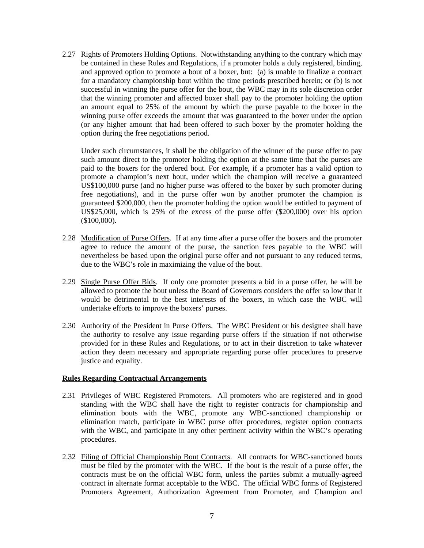2.27 Rights of Promoters Holding Options. Notwithstanding anything to the contrary which may be contained in these Rules and Regulations, if a promoter holds a duly registered, binding, and approved option to promote a bout of a boxer, but: (a) is unable to finalize a contract for a mandatory championship bout within the time periods prescribed herein; or (b) is not successful in winning the purse offer for the bout, the WBC may in its sole discretion order that the winning promoter and affected boxer shall pay to the promoter holding the option an amount equal to 25% of the amount by which the purse payable to the boxer in the winning purse offer exceeds the amount that was guaranteed to the boxer under the option (or any higher amount that had been offered to such boxer by the promoter holding the option during the free negotiations period.

Under such circumstances, it shall be the obligation of the winner of the purse offer to pay such amount direct to the promoter holding the option at the same time that the purses are paid to the boxers for the ordered bout. For example, if a promoter has a valid option to promote a champion's next bout, under which the champion will receive a guaranteed US\$100,000 purse (and no higher purse was offered to the boxer by such promoter during free negotiations), and in the purse offer won by another promoter the champion is guaranteed \$200,000, then the promoter holding the option would be entitled to payment of US\$25,000, which is 25% of the excess of the purse offer (\$200,000) over his option (\$100,000).

- 2.28 Modification of Purse Offers. If at any time after a purse offer the boxers and the promoter agree to reduce the amount of the purse, the sanction fees payable to the WBC will nevertheless be based upon the original purse offer and not pursuant to any reduced terms, due to the WBC's role in maximizing the value of the bout.
- 2.29 Single Purse Offer Bids. If only one promoter presents a bid in a purse offer, he will be allowed to promote the bout unless the Board of Governors considers the offer so low that it would be detrimental to the best interests of the boxers, in which case the WBC will undertake efforts to improve the boxers' purses.
- 2.30 Authority of the President in Purse Offers. The WBC President or his designee shall have the authority to resolve any issue regarding purse offers if the situation if not otherwise provided for in these Rules and Regulations, or to act in their discretion to take whatever action they deem necessary and appropriate regarding purse offer procedures to preserve justice and equality.

### **Rules Regarding Contractual Arrangements**

- 2.31 Privileges of WBC Registered Promoters. All promoters who are registered and in good standing with the WBC shall have the right to register contracts for championship and elimination bouts with the WBC, promote any WBC-sanctioned championship or elimination match, participate in WBC purse offer procedures, register option contracts with the WBC, and participate in any other pertinent activity within the WBC's operating procedures.
- 2.32 Filing of Official Championship Bout Contracts. All contracts for WBC-sanctioned bouts must be filed by the promoter with the WBC. If the bout is the result of a purse offer, the contracts must be on the official WBC form, unless the parties submit a mutually-agreed contract in alternate format acceptable to the WBC. The official WBC forms of Registered Promoters Agreement, Authorization Agreement from Promoter, and Champion and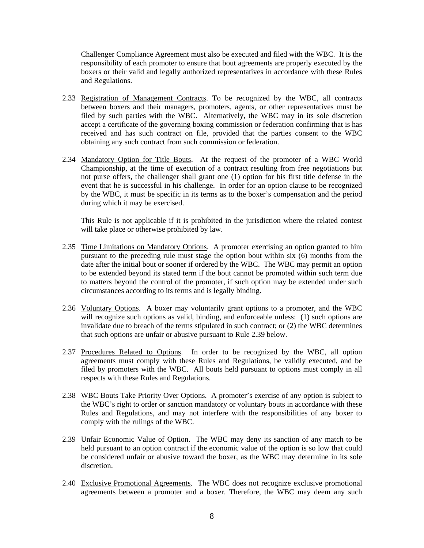Challenger Compliance Agreement must also be executed and filed with the WBC. It is the responsibility of each promoter to ensure that bout agreements are properly executed by the boxers or their valid and legally authorized representatives in accordance with these Rules and Regulations.

- 2.33 Registration of Management Contracts. To be recognized by the WBC, all contracts between boxers and their managers, promoters, agents, or other representatives must be filed by such parties with the WBC. Alternatively, the WBC may in its sole discretion accept a certificate of the governing boxing commission or federation confirming that is has received and has such contract on file, provided that the parties consent to the WBC obtaining any such contract from such commission or federation.
- 2.34 Mandatory Option for Title Bouts. At the request of the promoter of a WBC World Championship, at the time of execution of a contract resulting from free negotiations but not purse offers, the challenger shall grant one (1) option for his first title defense in the event that he is successful in his challenge. In order for an option clause to be recognized by the WBC, it must be specific in its terms as to the boxer's compensation and the period during which it may be exercised.

 This Rule is not applicable if it is prohibited in the jurisdiction where the related contest will take place or otherwise prohibited by law.

- 2.35 Time Limitations on Mandatory Options. A promoter exercising an option granted to him pursuant to the preceding rule must stage the option bout within six (6) months from the date after the initial bout or sooner if ordered by the WBC. The WBC may permit an option to be extended beyond its stated term if the bout cannot be promoted within such term due to matters beyond the control of the promoter, if such option may be extended under such circumstances according to its terms and is legally binding.
- 2.36 Voluntary Options. A boxer may voluntarily grant options to a promoter, and the WBC will recognize such options as valid, binding, and enforceable unless: (1) such options are invalidate due to breach of the terms stipulated in such contract; or (2) the WBC determines that such options are unfair or abusive pursuant to Rule 2.39 below.
- 2.37 Procedures Related to Options. In order to be recognized by the WBC, all option agreements must comply with these Rules and Regulations, be validly executed, and be filed by promoters with the WBC. All bouts held pursuant to options must comply in all respects with these Rules and Regulations.
- 2.38 WBC Bouts Take Priority Over Options. A promoter's exercise of any option is subject to the WBC's right to order or sanction mandatory or voluntary bouts in accordance with these Rules and Regulations, and may not interfere with the responsibilities of any boxer to comply with the rulings of the WBC.
- 2.39 Unfair Economic Value of Option. The WBC may deny its sanction of any match to be held pursuant to an option contract if the economic value of the option is so low that could be considered unfair or abusive toward the boxer, as the WBC may determine in its sole discretion.
- 2.40 Exclusive Promotional Agreements. The WBC does not recognize exclusive promotional agreements between a promoter and a boxer. Therefore, the WBC may deem any such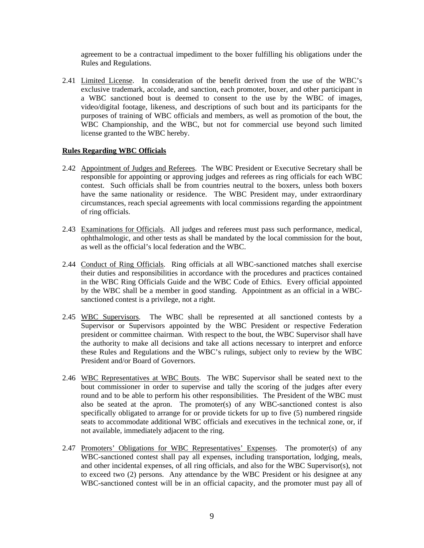agreement to be a contractual impediment to the boxer fulfilling his obligations under the Rules and Regulations.

2.41 Limited License. In consideration of the benefit derived from the use of the WBC's exclusive trademark, accolade, and sanction, each promoter, boxer, and other participant in a WBC sanctioned bout is deemed to consent to the use by the WBC of images, video/digital footage, likeness, and descriptions of such bout and its participants for the purposes of training of WBC officials and members, as well as promotion of the bout, the WBC Championship, and the WBC, but not for commercial use beyond such limited license granted to the WBC hereby.

### **Rules Regarding WBC Officials**

- 2.42 Appointment of Judges and Referees. The WBC President or Executive Secretary shall be responsible for appointing or approving judges and referees as ring officials for each WBC contest. Such officials shall be from countries neutral to the boxers, unless both boxers have the same nationality or residence. The WBC President may, under extraordinary circumstances, reach special agreements with local commissions regarding the appointment of ring officials.
- 2.43 Examinations for Officials. All judges and referees must pass such performance, medical, ophthalmologic, and other tests as shall be mandated by the local commission for the bout, as well as the official's local federation and the WBC.
- 2.44 Conduct of Ring Officials. Ring officials at all WBC-sanctioned matches shall exercise their duties and responsibilities in accordance with the procedures and practices contained in the WBC Ring Officials Guide and the WBC Code of Ethics. Every official appointed by the WBC shall be a member in good standing. Appointment as an official in a WBCsanctioned contest is a privilege, not a right.
- 2.45 WBC Supervisors. The WBC shall be represented at all sanctioned contests by a Supervisor or Supervisors appointed by the WBC President or respective Federation president or committee chairman. With respect to the bout, the WBC Supervisor shall have the authority to make all decisions and take all actions necessary to interpret and enforce these Rules and Regulations and the WBC's rulings, subject only to review by the WBC President and/or Board of Governors.
- 2.46 WBC Representatives at WBC Bouts. The WBC Supervisor shall be seated next to the bout commissioner in order to supervise and tally the scoring of the judges after every round and to be able to perform his other responsibilities. The President of the WBC must also be seated at the apron. The promoter(s) of any WBC-sanctioned contest is also specifically obligated to arrange for or provide tickets for up to five (5) numbered ringside seats to accommodate additional WBC officials and executives in the technical zone, or, if not available, immediately adjacent to the ring.
- 2.47 Promoters' Obligations for WBC Representatives' Expenses. The promoter(s) of any WBC-sanctioned contest shall pay all expenses, including transportation, lodging, meals, and other incidental expenses, of all ring officials, and also for the WBC Supervisor(s), not to exceed two (2) persons. Any attendance by the WBC President or his designee at any WBC-sanctioned contest will be in an official capacity, and the promoter must pay all of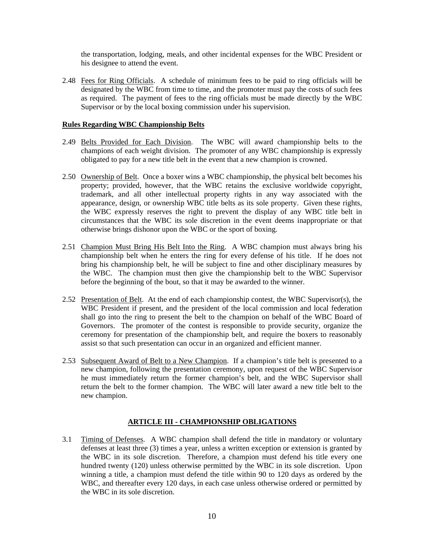the transportation, lodging, meals, and other incidental expenses for the WBC President or his designee to attend the event.

2.48 Fees for Ring Officials. A schedule of minimum fees to be paid to ring officials will be designated by the WBC from time to time, and the promoter must pay the costs of such fees as required. The payment of fees to the ring officials must be made directly by the WBC Supervisor or by the local boxing commission under his supervision.

#### **Rules Regarding WBC Championship Belts**

- 2.49 Belts Provided for Each Division. The WBC will award championship belts to the champions of each weight division. The promoter of any WBC championship is expressly obligated to pay for a new title belt in the event that a new champion is crowned.
- 2.50 Ownership of Belt. Once a boxer wins a WBC championship, the physical belt becomes his property; provided, however, that the WBC retains the exclusive worldwide copyright, trademark, and all other intellectual property rights in any way associated with the appearance, design, or ownership WBC title belts as its sole property. Given these rights, the WBC expressly reserves the right to prevent the display of any WBC title belt in circumstances that the WBC its sole discretion in the event deems inappropriate or that otherwise brings dishonor upon the WBC or the sport of boxing.
- 2.51 Champion Must Bring His Belt Into the Ring. A WBC champion must always bring his championship belt when he enters the ring for every defense of his title. If he does not bring his championship belt, he will be subject to fine and other disciplinary measures by the WBC. The champion must then give the championship belt to the WBC Supervisor before the beginning of the bout, so that it may be awarded to the winner.
- 2.52 Presentation of Belt. At the end of each championship contest, the WBC Supervisor(s), the WBC President if present, and the president of the local commission and local federation shall go into the ring to present the belt to the champion on behalf of the WBC Board of Governors. The promoter of the contest is responsible to provide security, organize the ceremony for presentation of the championship belt, and require the boxers to reasonably assist so that such presentation can occur in an organized and efficient manner.
- 2.53 Subsequent Award of Belt to a New Champion. If a champion's title belt is presented to a new champion, following the presentation ceremony, upon request of the WBC Supervisor he must immediately return the former champion's belt, and the WBC Supervisor shall return the belt to the former champion. The WBC will later award a new title belt to the new champion.

# **ARTICLE III - CHAMPIONSHIP OBLIGATIONS**

3.1 Timing of Defenses. A WBC champion shall defend the title in mandatory or voluntary defenses at least three (3) times a year, unless a written exception or extension is granted by the WBC in its sole discretion. Therefore, a champion must defend his title every one hundred twenty (120) unless otherwise permitted by the WBC in its sole discretion. Upon winning a title, a champion must defend the title within 90 to 120 days as ordered by the WBC, and thereafter every 120 days, in each case unless otherwise ordered or permitted by the WBC in its sole discretion.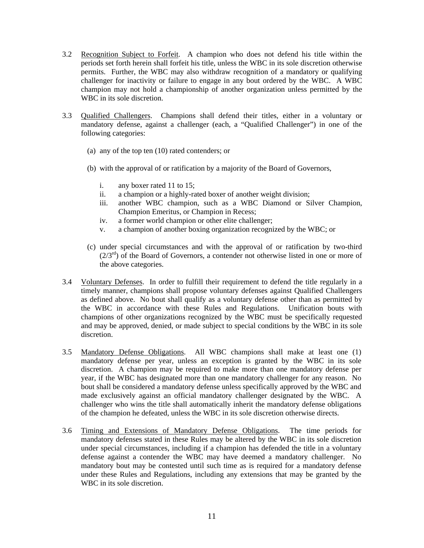- 3.2 Recognition Subject to Forfeit. A champion who does not defend his title within the periods set forth herein shall forfeit his title, unless the WBC in its sole discretion otherwise permits. Further, the WBC may also withdraw recognition of a mandatory or qualifying challenger for inactivity or failure to engage in any bout ordered by the WBC. A WBC champion may not hold a championship of another organization unless permitted by the WBC in its sole discretion.
- 3.3 Qualified Challengers. Champions shall defend their titles, either in a voluntary or mandatory defense, against a challenger (each, a "Qualified Challenger") in one of the following categories:
	- (a) any of the top ten (10) rated contenders; or
	- (b) with the approval of or ratification by a majority of the Board of Governors,
		- i. any boxer rated 11 to 15;
		- ii. a champion or a highly-rated boxer of another weight division;
		- iii. another WBC champion, such as a WBC Diamond or Silver Champion, Champion Emeritus, or Champion in Recess;
		- iv. a former world champion or other elite challenger;
		- v. a champion of another boxing organization recognized by the WBC; or
	- (c) under special circumstances and with the approval of or ratification by two-third  $(2/3<sup>rd</sup>)$  of the Board of Governors, a contender not otherwise listed in one or more of the above categories.
- 3.4 Voluntary Defenses. In order to fulfill their requirement to defend the title regularly in a timely manner, champions shall propose voluntary defenses against Qualified Challengers as defined above. No bout shall qualify as a voluntary defense other than as permitted by the WBC in accordance with these Rules and Regulations. Unification bouts with champions of other organizations recognized by the WBC must be specifically requested and may be approved, denied, or made subject to special conditions by the WBC in its sole discretion.
- 3.5 Mandatory Defense Obligations. All WBC champions shall make at least one (1) mandatory defense per year, unless an exception is granted by the WBC in its sole discretion. A champion may be required to make more than one mandatory defense per year, if the WBC has designated more than one mandatory challenger for any reason. No bout shall be considered a mandatory defense unless specifically approved by the WBC and made exclusively against an official mandatory challenger designated by the WBC. A challenger who wins the title shall automatically inherit the mandatory defense obligations of the champion he defeated, unless the WBC in its sole discretion otherwise directs.
- 3.6 Timing and Extensions of Mandatory Defense Obligations. The time periods for mandatory defenses stated in these Rules may be altered by the WBC in its sole discretion under special circumstances, including if a champion has defended the title in a voluntary defense against a contender the WBC may have deemed a mandatory challenger. No mandatory bout may be contested until such time as is required for a mandatory defense under these Rules and Regulations, including any extensions that may be granted by the WBC in its sole discretion.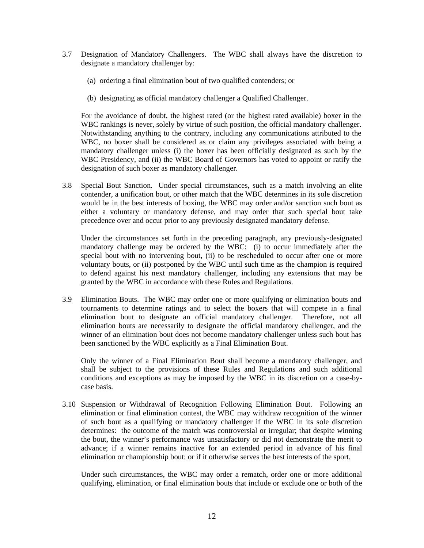- 3.7 Designation of Mandatory Challengers. The WBC shall always have the discretion to designate a mandatory challenger by:
	- (a) ordering a final elimination bout of two qualified contenders; or
	- (b) designating as official mandatory challenger a Qualified Challenger.

For the avoidance of doubt, the highest rated (or the highest rated available) boxer in the WBC rankings is never, solely by virtue of such position, the official mandatory challenger. Notwithstanding anything to the contrary, including any communications attributed to the WBC, no boxer shall be considered as or claim any privileges associated with being a mandatory challenger unless (i) the boxer has been officially designated as such by the WBC Presidency, and (ii) the WBC Board of Governors has voted to appoint or ratify the designation of such boxer as mandatory challenger.

3.8 Special Bout Sanction. Under special circumstances, such as a match involving an elite contender, a unification bout, or other match that the WBC determines in its sole discretion would be in the best interests of boxing, the WBC may order and/or sanction such bout as either a voluntary or mandatory defense, and may order that such special bout take precedence over and occur prior to any previously designated mandatory defense.

 Under the circumstances set forth in the preceding paragraph, any previously-designated mandatory challenge may be ordered by the WBC: (i) to occur immediately after the special bout with no intervening bout, (ii) to be rescheduled to occur after one or more voluntary bouts, or (ii) postponed by the WBC until such time as the champion is required to defend against his next mandatory challenger, including any extensions that may be granted by the WBC in accordance with these Rules and Regulations.

3.9 Elimination Bouts. The WBC may order one or more qualifying or elimination bouts and tournaments to determine ratings and to select the boxers that will compete in a final elimination bout to designate an official mandatory challenger. Therefore, not all elimination bouts are necessarily to designate the official mandatory challenger, and the winner of an elimination bout does not become mandatory challenger unless such bout has been sanctioned by the WBC explicitly as a Final Elimination Bout.

Only the winner of a Final Elimination Bout shall become a mandatory challenger, and shall be subject to the provisions of these Rules and Regulations and such additional conditions and exceptions as may be imposed by the WBC in its discretion on a case-bycase basis.

3.10 Suspension or Withdrawal of Recognition Following Elimination Bout. Following an elimination or final elimination contest, the WBC may withdraw recognition of the winner of such bout as a qualifying or mandatory challenger if the WBC in its sole discretion determines: the outcome of the match was controversial or irregular; that despite winning the bout, the winner's performance was unsatisfactory or did not demonstrate the merit to advance; if a winner remains inactive for an extended period in advance of his final elimination or championship bout; or if it otherwise serves the best interests of the sport.

Under such circumstances, the WBC may order a rematch, order one or more additional qualifying, elimination, or final elimination bouts that include or exclude one or both of the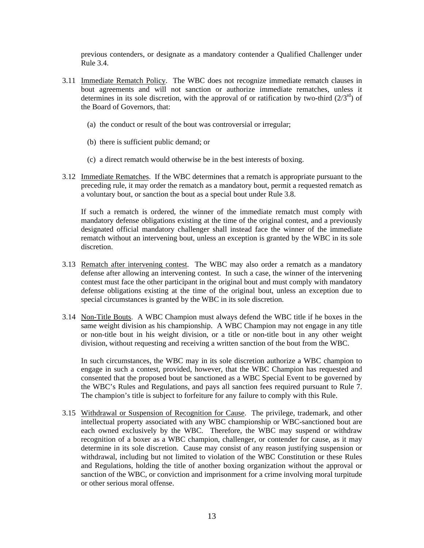previous contenders, or designate as a mandatory contender a Qualified Challenger under Rule 3.4.

- 3.11 Immediate Rematch Policy. The WBC does not recognize immediate rematch clauses in bout agreements and will not sanction or authorize immediate rematches, unless it determines in its sole discretion, with the approval of or ratification by two-third  $(2/3<sup>rd</sup>)$  of the Board of Governors, that:
	- (a) the conduct or result of the bout was controversial or irregular;
	- (b) there is sufficient public demand; or
	- (c) a direct rematch would otherwise be in the best interests of boxing.
- 3.12 Immediate Rematches. If the WBC determines that a rematch is appropriate pursuant to the preceding rule, it may order the rematch as a mandatory bout, permit a requested rematch as a voluntary bout, or sanction the bout as a special bout under Rule 3.8.

 If such a rematch is ordered, the winner of the immediate rematch must comply with mandatory defense obligations existing at the time of the original contest, and a previously designated official mandatory challenger shall instead face the winner of the immediate rematch without an intervening bout, unless an exception is granted by the WBC in its sole discretion.

- 3.13 Rematch after intervening contest. The WBC may also order a rematch as a mandatory defense after allowing an intervening contest. In such a case, the winner of the intervening contest must face the other participant in the original bout and must comply with mandatory defense obligations existing at the time of the original bout, unless an exception due to special circumstances is granted by the WBC in its sole discretion.
- 3.14 Non-Title Bouts. A WBC Champion must always defend the WBC title if he boxes in the same weight division as his championship. A WBC Champion may not engage in any title or non-title bout in his weight division, or a title or non-title bout in any other weight division, without requesting and receiving a written sanction of the bout from the WBC.

 In such circumstances, the WBC may in its sole discretion authorize a WBC champion to engage in such a contest, provided, however, that the WBC Champion has requested and consented that the proposed bout be sanctioned as a WBC Special Event to be governed by the WBC's Rules and Regulations, and pays all sanction fees required pursuant to Rule 7. The champion's title is subject to forfeiture for any failure to comply with this Rule.

3.15 Withdrawal or Suspension of Recognition for Cause. The privilege, trademark, and other intellectual property associated with any WBC championship or WBC-sanctioned bout are each owned exclusively by the WBC. Therefore, the WBC may suspend or withdraw recognition of a boxer as a WBC champion, challenger, or contender for cause, as it may determine in its sole discretion. Cause may consist of any reason justifying suspension or withdrawal, including but not limited to violation of the WBC Constitution or these Rules and Regulations, holding the title of another boxing organization without the approval or sanction of the WBC, or conviction and imprisonment for a crime involving moral turpitude or other serious moral offense.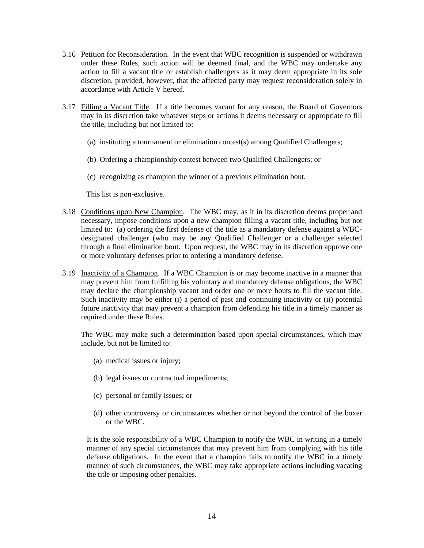- 3.16 Petition for Reconsideration. In the event that WBC recognition is suspended or withdrawn under these Rules, such action will be deemed final, and the WBC may undertake any action to fill a vacant title or establish challengers as it may deem appropriate in its sole discretion, provided, however, that the affected party may request reconsideration solely in accordance with Article V hereof.
- 3.17 Filling a Vacant Title. If a title becomes vacant for any reason, the Board of Governors may in its discretion take whatever steps or actions it deems necessary or appropriate to fill the title, including but not limited to:
	- (a) instituting a tournament or elimination contest(s) among Qualified Challengers;
	- (b) Ordering a championship contest between two Qualified Challengers; or
	- (c) recognizing as champion the winner of a previous elimination bout.

This list is non-exclusive.

- 3.18 Conditions upon New Champion. The WBC may, as it in its discretion deems proper and necessary, impose conditions upon a new champion filling a vacant title, including but not limited to: (a) ordering the first defense of the title as a mandatory defense against a WBCdesignated challenger (who may be any Qualified Challenger or a challenger selected through a final elimination bout. Upon request, the WBC may in its discretion approve one or more voluntary defenses prior to ordering a mandatory defense.
- 3.19 Inactivity of a Champion. If a WBC Champion is or may become inactive in a manner that may prevent him from fulfilling his voluntary and mandatory defense obligations, the WBC may declare the championship vacant and order one or more bouts to fill the vacant title. Such inactivity may be either (i) a period of past and continuing inactivity or (ii) potential future inactivity that may prevent a champion from defending his title in a timely manner as required under these Rules.

 The WBC may make such a determination based upon special circumstances, which may include, but not be limited to:

- (a) medical issues or injury;
- (b) legal issues or contractual impediments;
- (c) personal or family issues; or
- (d) other controversy or circumstances whether or not beyond the control of the boxer or the WBC.

It is the sole responsibility of a WBC Champion to notify the WBC in writing in a timely manner of any special circumstances that may prevent him from complying with his title defense obligations. In the event that a champion fails to notify the WBC in a timely manner of such circumstances, the WBC may take appropriate actions including vacating the title or imposing other penalties.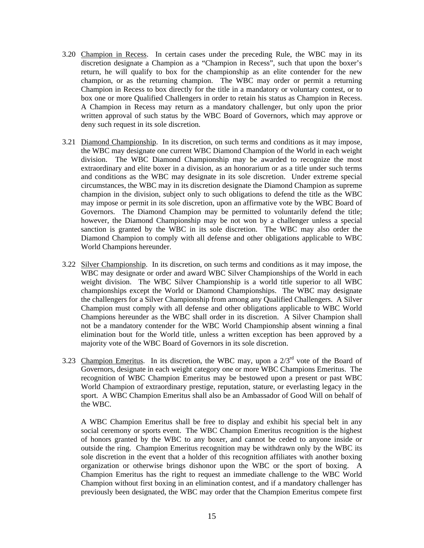- 3.20 Champion in Recess. In certain cases under the preceding Rule, the WBC may in its discretion designate a Champion as a "Champion in Recess", such that upon the boxer's return, he will qualify to box for the championship as an elite contender for the new champion, or as the returning champion. The WBC may order or permit a returning Champion in Recess to box directly for the title in a mandatory or voluntary contest, or to box one or more Qualified Challengers in order to retain his status as Champion in Recess. A Champion in Recess may return as a mandatory challenger, but only upon the prior written approval of such status by the WBC Board of Governors, which may approve or deny such request in its sole discretion.
- 3.21 Diamond Championship. In its discretion, on such terms and conditions as it may impose, the WBC may designate one current WBC Diamond Champion of the World in each weight division. The WBC Diamond Championship may be awarded to recognize the most extraordinary and elite boxer in a division, as an honorarium or as a title under such terms and conditions as the WBC may designate in its sole discretion. Under extreme special circumstances, the WBC may in its discretion designate the Diamond Champion as supreme champion in the division, subject only to such obligations to defend the title as the WBC may impose or permit in its sole discretion, upon an affirmative vote by the WBC Board of Governors. The Diamond Champion may be permitted to voluntarily defend the title; however, the Diamond Championship may be not won by a challenger unless a special sanction is granted by the WBC in its sole discretion. The WBC may also order the Diamond Champion to comply with all defense and other obligations applicable to WBC World Champions hereunder.
- 3.22 Silver Championship. In its discretion, on such terms and conditions as it may impose, the WBC may designate or order and award WBC Silver Championships of the World in each weight division. The WBC Silver Championship is a world title superior to all WBC championships except the World or Diamond Championships. The WBC may designate the challengers for a Silver Championship from among any Qualified Challengers. A Silver Champion must comply with all defense and other obligations applicable to WBC World Champions hereunder as the WBC shall order in its discretion. A Silver Champion shall not be a mandatory contender for the WBC World Championship absent winning a final elimination bout for the World title, unless a written exception has been approved by a majority vote of the WBC Board of Governors in its sole discretion.
- 3.23 Champion Emeritus. In its discretion, the WBC may, upon a  $2/3<sup>rd</sup>$  vote of the Board of Governors, designate in each weight category one or more WBC Champions Emeritus. The recognition of WBC Champion Emeritus may be bestowed upon a present or past WBC World Champion of extraordinary prestige, reputation, stature, or everlasting legacy in the sport. A WBC Champion Emeritus shall also be an Ambassador of Good Will on behalf of the WBC.

 A WBC Champion Emeritus shall be free to display and exhibit his special belt in any social ceremony or sports event. The WBC Champion Emeritus recognition is the highest of honors granted by the WBC to any boxer, and cannot be ceded to anyone inside or outside the ring. Champion Emeritus recognition may be withdrawn only by the WBC its sole discretion in the event that a holder of this recognition affiliates with another boxing organization or otherwise brings dishonor upon the WBC or the sport of boxing. A Champion Emeritus has the right to request an immediate challenge to the WBC World Champion without first boxing in an elimination contest, and if a mandatory challenger has previously been designated, the WBC may order that the Champion Emeritus compete first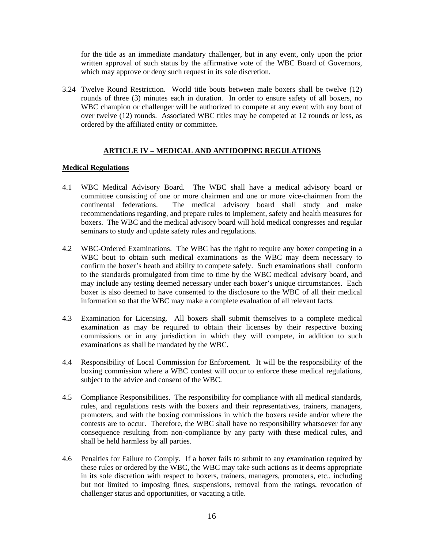for the title as an immediate mandatory challenger, but in any event, only upon the prior written approval of such status by the affirmative vote of the WBC Board of Governors, which may approve or deny such request in its sole discretion.

3.24 Twelve Round Restriction. World title bouts between male boxers shall be twelve (12) rounds of three (3) minutes each in duration. In order to ensure safety of all boxers, no WBC champion or challenger will be authorized to compete at any event with any bout of over twelve (12) rounds. Associated WBC titles may be competed at 12 rounds or less, as ordered by the affiliated entity or committee.

# **ARTICLE IV – MEDICAL AND ANTIDOPING REGULATIONS**

### **Medical Regulations**

- 4.1 WBC Medical Advisory Board. The WBC shall have a medical advisory board or committee consisting of one or more chairmen and one or more vice-chairmen from the continental federations. The medical advisory board shall study and make recommendations regarding, and prepare rules to implement, safety and health measures for boxers. The WBC and the medical advisory board will hold medical congresses and regular seminars to study and update safety rules and regulations.
- 4.2 WBC-Ordered Examinations. The WBC has the right to require any boxer competing in a WBC bout to obtain such medical examinations as the WBC may deem necessary to confirm the boxer's heath and ability to compete safely. Such examinations shall conform to the standards promulgated from time to time by the WBC medical advisory board, and may include any testing deemed necessary under each boxer's unique circumstances. Each boxer is also deemed to have consented to the disclosure to the WBC of all their medical information so that the WBC may make a complete evaluation of all relevant facts.
- 4.3 Examination for Licensing. All boxers shall submit themselves to a complete medical examination as may be required to obtain their licenses by their respective boxing commissions or in any jurisdiction in which they will compete, in addition to such examinations as shall be mandated by the WBC.
- 4.4 Responsibility of Local Commission for Enforcement. It will be the responsibility of the boxing commission where a WBC contest will occur to enforce these medical regulations, subject to the advice and consent of the WBC.
- 4.5 Compliance Responsibilities. The responsibility for compliance with all medical standards, rules, and regulations rests with the boxers and their representatives, trainers, managers, promoters, and with the boxing commissions in which the boxers reside and/or where the contests are to occur. Therefore, the WBC shall have no responsibility whatsoever for any consequence resulting from non-compliance by any party with these medical rules, and shall be held harmless by all parties.
- 4.6 Penalties for Failure to Comply. If a boxer fails to submit to any examination required by these rules or ordered by the WBC, the WBC may take such actions as it deems appropriate in its sole discretion with respect to boxers, trainers, managers, promoters, etc., including but not limited to imposing fines, suspensions, removal from the ratings, revocation of challenger status and opportunities, or vacating a title.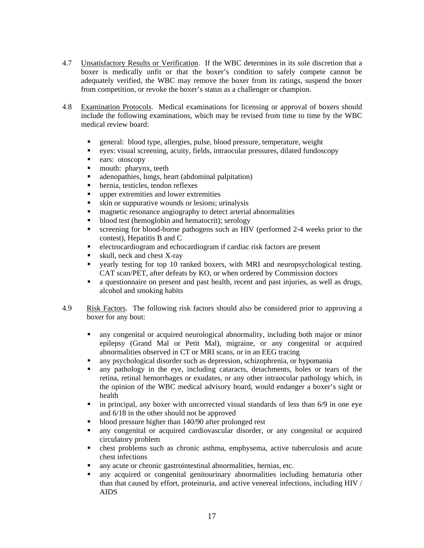- 4.7 Unsatisfactory Results or Verification. If the WBC determines in its sole discretion that a boxer is medically unfit or that the boxer's condition to safely compete cannot be adequately verified, the WBC may remove the boxer from its ratings, suspend the boxer from competition, or revoke the boxer's status as a challenger or champion.
- 4.8 Examination Protocols. Medical examinations for licensing or approval of boxers should include the following examinations, which may be revised from time to time by the WBC medical review board:
	- general: blood type, allergies, pulse, blood pressure, temperature, weight
	- eyes: visual screening, acuity, fields, intraocular pressures, dilated fundoscopy
	- ears: otoscopy
	- mouth: pharynx, teeth
	- adenopathies, lungs, heart (abdominal palpitation)
	- hernia, testicles, tendon reflexes
	- **upper extremities and lower extremities**
	- skin or suppurative wounds or lesions; urinalysis
	- **EXECUTE:** magnetic resonance angiography to detect arterial abnormalities
	- blood test (hemoglobin and hematocrit); serology
	- screening for blood-borne pathogens such as HIV (performed 2-4 weeks prior to the contest), Hepatitis B and C
	- electrocardiogram and echocardiogram if cardiac risk factors are present
	- skull, neck and chest X-ray
	- yearly testing for top 10 ranked boxers, with MRI and neuropsychological testing. CAT scan/PET, after defeats by KO, or when ordered by Commission doctors
	- a questionnaire on present and past health, recent and past injuries, as well as drugs, alcohol and smoking habits
- 4.9 Risk Factors. The following risk factors should also be considered prior to approving a boxer for any bout:
	- any congenital or acquired neurological abnormality, including both major or minor epilepsy (Grand Mal or Petit Mal), migraine, or any congenital or acquired abnormalities observed in CT or MRI scans, or in an EEG tracing
	- any psychological disorder such as depression, schizophrenia, or hypomania
	- any pathology in the eye, including cataracts, detachments, holes or tears of the retina, retinal hemorrhages or exudates, or any other intraocular pathology which, in the opinion of the WBC medical advisory board, would endanger a boxer's sight or health
	- $\blacksquare$  in principal, any boxer with uncorrected visual standards of less than 6/9 in one eye and 6/18 in the other should not be approved
	- blood pressure higher than 140/90 after prolonged rest
	- any congenital or acquired cardiovascular disorder, or any congenital or acquired circulatory problem
	- chest problems such as chronic asthma, emphysema, active tuberculosis and acute chest infections
	- any acute or chronic gastrointestinal abnormalities, hernias, etc.
	- any acquired or congenital genitourinary abnormalities including hematuria other than that caused by effort, proteinuria, and active venereal infections, including HIV / AIDS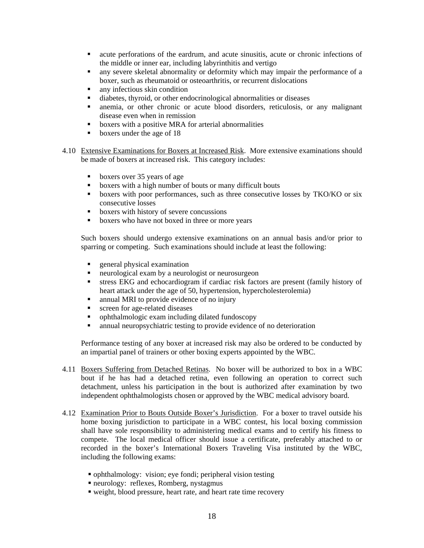- acute perforations of the eardrum, and acute sinusitis, acute or chronic infections of the middle or inner ear, including labyrinthitis and vertigo
- any severe skeletal abnormality or deformity which may impair the performance of a boxer, such as rheumatoid or osteoarthritis, or recurrent dislocations
- any infectious skin condition
- diabetes, thyroid, or other endocrinological abnormalities or diseases
- anemia, or other chronic or acute blood disorders, reticulosis, or any malignant disease even when in remission
- **boxers with a positive MRA for arterial abnormalities**
- **boxers under the age of 18**
- 4.10 Extensive Examinations for Boxers at Increased Risk. More extensive examinations should be made of boxers at increased risk. This category includes:
	- boxers over 35 years of age
	- boxers with a high number of bouts or many difficult bouts
	- **boxers with poor performances, such as three consecutive losses by TKO/KO or six** consecutive losses
	- **boxers with history of severe concussions**
	- **boxers** who have not boxed in three or more years

Such boxers should undergo extensive examinations on an annual basis and/or prior to sparring or competing. Such examinations should include at least the following:

- **EXECUTE:** Physical examination
- neurological exam by a neurologist or neurosurgeon
- stress EKG and echocardiogram if cardiac risk factors are present (family history of heart attack under the age of 50, hypertension, hypercholesterolemia)
- annual MRI to provide evidence of no injury
- screen for age-related diseases
- ophthalmologic exam including dilated fundoscopy
- annual neuropsychiatric testing to provide evidence of no deterioration

Performance testing of any boxer at increased risk may also be ordered to be conducted by an impartial panel of trainers or other boxing experts appointed by the WBC.

- 4.11 Boxers Suffering from Detached Retinas. No boxer will be authorized to box in a WBC bout if he has had a detached retina, even following an operation to correct such detachment, unless his participation in the bout is authorized after examination by two independent ophthalmologists chosen or approved by the WBC medical advisory board.
- 4.12 Examination Prior to Bouts Outside Boxer's Jurisdiction. For a boxer to travel outside his home boxing jurisdiction to participate in a WBC contest, his local boxing commission shall have sole responsibility to administering medical exams and to certify his fitness to compete. The local medical officer should issue a certificate, preferably attached to or recorded in the boxer's International Boxers Traveling Visa instituted by the WBC, including the following exams:
	- ophthalmology: vision; eye fondi; peripheral vision testing
	- neurology: reflexes, Romberg, nystagmus
	- weight, blood pressure, heart rate, and heart rate time recovery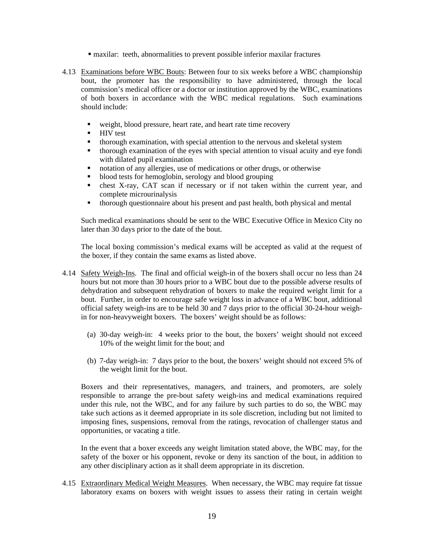- maxilar: teeth, abnormalities to prevent possible inferior maxilar fractures
- 4.13 Examinations before WBC Bouts: Between four to six weeks before a WBC championship bout, the promoter has the responsibility to have administered, through the local commission's medical officer or a doctor or institution approved by the WBC, examinations of both boxers in accordance with the WBC medical regulations. Such examinations should include:
	- weight, blood pressure, heart rate, and heart rate time recovery
	- $HIV$  test
	- thorough examination, with special attention to the nervous and skeletal system<br>• thorough examination of the eves with special attention to visual acuity and eve
	- thorough examination of the eyes with special attention to visual acuity and eye fondi with dilated pupil examination
	- notation of any allergies, use of medications or other drugs, or otherwise
	- blood tests for hemoglobin, serology and blood grouping
	- chest X-ray, CAT scan if necessary or if not taken within the current year, and complete microurinalysis
	- thorough questionnaire about his present and past health, both physical and mental

 Such medical examinations should be sent to the WBC Executive Office in Mexico City no later than 30 days prior to the date of the bout.

 The local boxing commission's medical exams will be accepted as valid at the request of the boxer, if they contain the same exams as listed above.

- 4.14 Safety Weigh-Ins. The final and official weigh-in of the boxers shall occur no less than 24 hours but not more than 30 hours prior to a WBC bout due to the possible adverse results of dehydration and subsequent rehydration of boxers to make the required weight limit for a bout. Further, in order to encourage safe weight loss in advance of a WBC bout, additional official safety weigh-ins are to be held 30 and 7 days prior to the official 30-24-hour weighin for non-heavyweight boxers. The boxers' weight should be as follows:
	- (a) 30-day weigh-in: 4 weeks prior to the bout, the boxers' weight should not exceed 10% of the weight limit for the bout; and
	- (b) 7-day weigh-in: 7 days prior to the bout, the boxers' weight should not exceed 5% of the weight limit for the bout.

 Boxers and their representatives, managers, and trainers, and promoters, are solely responsible to arrange the pre-bout safety weigh-ins and medical examinations required under this rule, not the WBC, and for any failure by such parties to do so, the WBC may take such actions as it deemed appropriate in its sole discretion, including but not limited to imposing fines, suspensions, removal from the ratings, revocation of challenger status and opportunities, or vacating a title.

 In the event that a boxer exceeds any weight limitation stated above, the WBC may, for the safety of the boxer or his opponent, revoke or deny its sanction of the bout, in addition to any other disciplinary action as it shall deem appropriate in its discretion.

4.15 Extraordinary Medical Weight Measures. When necessary, the WBC may require fat tissue laboratory exams on boxers with weight issues to assess their rating in certain weight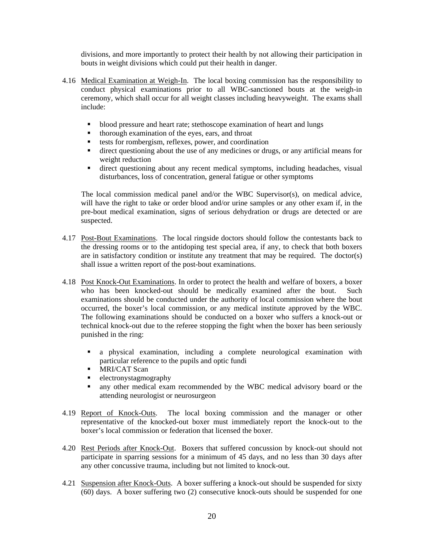divisions, and more importantly to protect their health by not allowing their participation in bouts in weight divisions which could put their health in danger.

- 4.16 Medical Examination at Weigh-In. The local boxing commission has the responsibility to conduct physical examinations prior to all WBC-sanctioned bouts at the weigh-in ceremony, which shall occur for all weight classes including heavyweight. The exams shall include:
	- blood pressure and heart rate; stethoscope examination of heart and lungs<br>thorough examination of the eves ears and throat
	- thorough examination of the eyes, ears, and throat
	- tests for rombergism, reflexes, power, and coordination
	- direct questioning about the use of any medicines or drugs, or any artificial means for weight reduction
	- direct questioning about any recent medical symptoms, including headaches, visual disturbances, loss of concentration, general fatigue or other symptoms

The local commission medical panel and/or the WBC Supervisor(s), on medical advice, will have the right to take or order blood and/or urine samples or any other exam if, in the pre-bout medical examination, signs of serious dehydration or drugs are detected or are suspected.

- 4.17 Post-Bout Examinations. The local ringside doctors should follow the contestants back to the dressing rooms or to the antidoping test special area, if any, to check that both boxers are in satisfactory condition or institute any treatment that may be required. The doctor(s) shall issue a written report of the post-bout examinations.
- 4.18 Post Knock-Out Examinations. In order to protect the health and welfare of boxers, a boxer who has been knocked-out should be medically examined after the bout. Such examinations should be conducted under the authority of local commission where the bout occurred, the boxer's local commission, or any medical institute approved by the WBC. The following examinations should be conducted on a boxer who suffers a knock-out or technical knock-out due to the referee stopping the fight when the boxer has been seriously punished in the ring:
	- a physical examination, including a complete neurological examination with particular reference to the pupils and optic fundi
	- **MRI/CAT Scan**
	- **electronystagmography**
	- any other medical exam recommended by the WBC medical advisory board or the attending neurologist or neurosurgeon
- 4.19 Report of Knock-Outs. The local boxing commission and the manager or other representative of the knocked-out boxer must immediately report the knock-out to the boxer's local commission or federation that licensed the boxer.
- 4.20 Rest Periods after Knock-Out. Boxers that suffered concussion by knock-out should not participate in sparring sessions for a minimum of 45 days, and no less than 30 days after any other concussive trauma, including but not limited to knock-out.
- 4.21 Suspension after Knock-Outs. A boxer suffering a knock-out should be suspended for sixty (60) days. A boxer suffering two (2) consecutive knock-outs should be suspended for one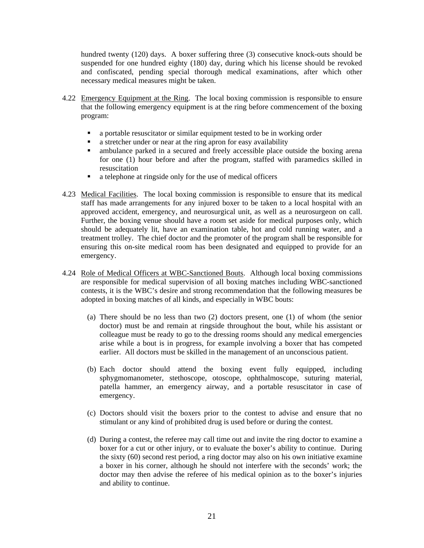hundred twenty (120) days. A boxer suffering three (3) consecutive knock-outs should be suspended for one hundred eighty (180) day, during which his license should be revoked and confiscated, pending special thorough medical examinations, after which other necessary medical measures might be taken.

- 4.22 Emergency Equipment at the Ring. The local boxing commission is responsible to ensure that the following emergency equipment is at the ring before commencement of the boxing program:
	- a portable resuscitator or similar equipment tested to be in working order
	- a stretcher under or near at the ring apron for easy availability<br>• ambulance parked in a secured and freely accessible place of
	- ambulance parked in a secured and freely accessible place outside the boxing arena for one (1) hour before and after the program, staffed with paramedics skilled in resuscitation
	- a telephone at ringside only for the use of medical officers
- 4.23 Medical Facilities. The local boxing commission is responsible to ensure that its medical staff has made arrangements for any injured boxer to be taken to a local hospital with an approved accident, emergency, and neurosurgical unit, as well as a neurosurgeon on call. Further, the boxing venue should have a room set aside for medical purposes only, which should be adequately lit, have an examination table, hot and cold running water, and a treatment trolley. The chief doctor and the promoter of the program shall be responsible for ensuring this on-site medical room has been designated and equipped to provide for an emergency.
- 4.24 Role of Medical Officers at WBC-Sanctioned Bouts. Although local boxing commissions are responsible for medical supervision of all boxing matches including WBC-sanctioned contests, it is the WBC's desire and strong recommendation that the following measures be adopted in boxing matches of all kinds, and especially in WBC bouts:
	- (a) There should be no less than two (2) doctors present, one (1) of whom (the senior doctor) must be and remain at ringside throughout the bout, while his assistant or colleague must be ready to go to the dressing rooms should any medical emergencies arise while a bout is in progress, for example involving a boxer that has competed earlier. All doctors must be skilled in the management of an unconscious patient.
	- (b) Each doctor should attend the boxing event fully equipped, including sphygmomanometer, stethoscope, otoscope, ophthalmoscope, suturing material, patella hammer, an emergency airway, and a portable resuscitator in case of emergency.
	- (c) Doctors should visit the boxers prior to the contest to advise and ensure that no stimulant or any kind of prohibited drug is used before or during the contest.
	- (d) During a contest, the referee may call time out and invite the ring doctor to examine a boxer for a cut or other injury, or to evaluate the boxer's ability to continue. During the sixty (60) second rest period, a ring doctor may also on his own initiative examine a boxer in his corner, although he should not interfere with the seconds' work; the doctor may then advise the referee of his medical opinion as to the boxer's injuries and ability to continue.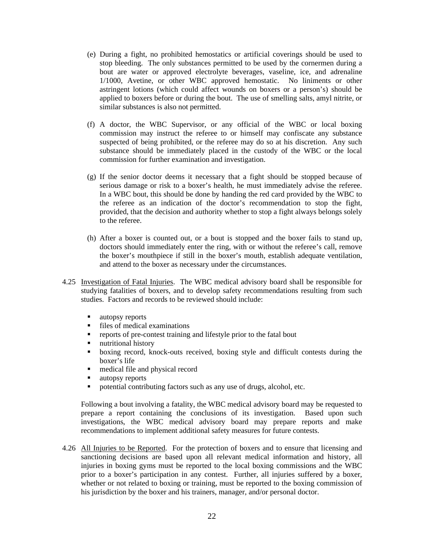- (e) During a fight, no prohibited hemostatics or artificial coverings should be used to stop bleeding. The only substances permitted to be used by the cornermen during a bout are water or approved electrolyte beverages, vaseline, ice, and adrenaline 1/1000, Avetine, or other WBC approved hemostatic. No liniments or other astringent lotions (which could affect wounds on boxers or a person's) should be applied to boxers before or during the bout. The use of smelling salts, amyl nitrite, or similar substances is also not permitted.
- (f) A doctor, the WBC Supervisor, or any official of the WBC or local boxing commission may instruct the referee to or himself may confiscate any substance suspected of being prohibited, or the referee may do so at his discretion. Any such substance should be immediately placed in the custody of the WBC or the local commission for further examination and investigation.
- (g) If the senior doctor deems it necessary that a fight should be stopped because of serious damage or risk to a boxer's health, he must immediately advise the referee. In a WBC bout, this should be done by handing the red card provided by the WBC to the referee as an indication of the doctor's recommendation to stop the fight, provided, that the decision and authority whether to stop a fight always belongs solely to the referee.
- (h) After a boxer is counted out, or a bout is stopped and the boxer fails to stand up, doctors should immediately enter the ring, with or without the referee's call, remove the boxer's mouthpiece if still in the boxer's mouth, establish adequate ventilation, and attend to the boxer as necessary under the circumstances.
- 4.25 Investigation of Fatal Injuries. The WBC medical advisory board shall be responsible for studying fatalities of boxers, and to develop safety recommendations resulting from such studies. Factors and records to be reviewed should include:
	- utopsy reports
	- Files of medical examinations<br>Figures of pre-contest training
	- **•** reports of pre-contest training and lifestyle prior to the fatal bout<br>• nutritional history
	- nutritional history
	- boxing record, knock-outs received, boxing style and difficult contests during the boxer's life
	- medical file and physical record
	- utopsy reports
	- potential contributing factors such as any use of drugs, alcohol, etc.

 Following a bout involving a fatality, the WBC medical advisory board may be requested to prepare a report containing the conclusions of its investigation. Based upon such investigations, the WBC medical advisory board may prepare reports and make recommendations to implement additional safety measures for future contests.

4.26 All Injuries to be Reported. For the protection of boxers and to ensure that licensing and sanctioning decisions are based upon all relevant medical information and history, all injuries in boxing gyms must be reported to the local boxing commissions and the WBC prior to a boxer's participation in any contest. Further, all injuries suffered by a boxer, whether or not related to boxing or training, must be reported to the boxing commission of his jurisdiction by the boxer and his trainers, manager, and/or personal doctor.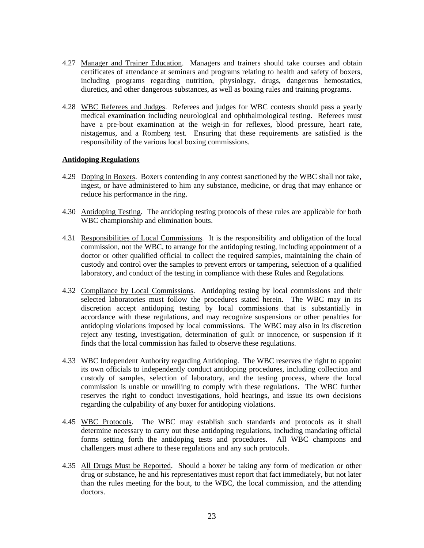- 4.27 Manager and Trainer Education. Managers and trainers should take courses and obtain certificates of attendance at seminars and programs relating to health and safety of boxers, including programs regarding nutrition, physiology, drugs, dangerous hemostatics, diuretics, and other dangerous substances, as well as boxing rules and training programs.
- 4.28 WBC Referees and Judges. Referees and judges for WBC contests should pass a yearly medical examination including neurological and ophthalmological testing. Referees must have a pre-bout examination at the weigh-in for reflexes, blood pressure, heart rate, nistagemus, and a Romberg test. Ensuring that these requirements are satisfied is the responsibility of the various local boxing commissions.

### **Antidoping Regulations**

- 4.29 Doping in Boxers. Boxers contending in any contest sanctioned by the WBC shall not take, ingest, or have administered to him any substance, medicine, or drug that may enhance or reduce his performance in the ring.
- 4.30 Antidoping Testing. The antidoping testing protocols of these rules are applicable for both WBC championship and elimination bouts.
- 4.31 Responsibilities of Local Commissions. It is the responsibility and obligation of the local commission, not the WBC, to arrange for the antidoping testing, including appointment of a doctor or other qualified official to collect the required samples, maintaining the chain of custody and control over the samples to prevent errors or tampering, selection of a qualified laboratory, and conduct of the testing in compliance with these Rules and Regulations.
- 4.32 Compliance by Local Commissions. Antidoping testing by local commissions and their selected laboratories must follow the procedures stated herein. The WBC may in its discretion accept antidoping testing by local commissions that is substantially in accordance with these regulations, and may recognize suspensions or other penalties for antidoping violations imposed by local commissions. The WBC may also in its discretion reject any testing, investigation, determination of guilt or innocence, or suspension if it finds that the local commission has failed to observe these regulations.
- 4.33 WBC Independent Authority regarding Antidoping. The WBC reserves the right to appoint its own officials to independently conduct antidoping procedures, including collection and custody of samples, selection of laboratory, and the testing process, where the local commission is unable or unwilling to comply with these regulations. The WBC further reserves the right to conduct investigations, hold hearings, and issue its own decisions regarding the culpability of any boxer for antidoping violations.
- 4.45 WBC Protocols. The WBC may establish such standards and protocols as it shall determine necessary to carry out these antidoping regulations, including mandating official forms setting forth the antidoping tests and procedures. All WBC champions and challengers must adhere to these regulations and any such protocols.
- 4.35 All Drugs Must be Reported. Should a boxer be taking any form of medication or other drug or substance, he and his representatives must report that fact immediately, but not later than the rules meeting for the bout, to the WBC, the local commission, and the attending doctors.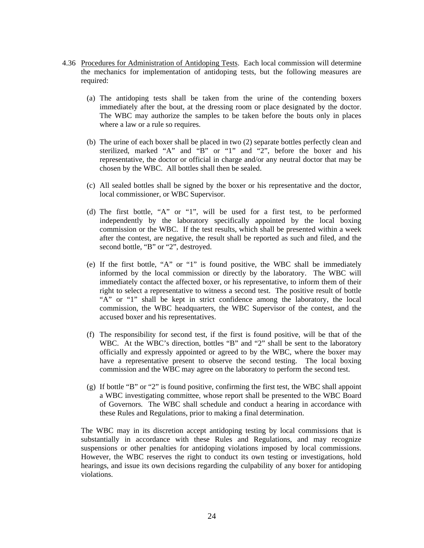- 4.36 Procedures for Administration of Antidoping Tests. Each local commission will determine the mechanics for implementation of antidoping tests, but the following measures are required:
	- (a) The antidoping tests shall be taken from the urine of the contending boxers immediately after the bout, at the dressing room or place designated by the doctor. The WBC may authorize the samples to be taken before the bouts only in places where a law or a rule so requires.
	- (b) The urine of each boxer shall be placed in two (2) separate bottles perfectly clean and sterilized, marked "A" and "B" or "1" and "2", before the boxer and his representative, the doctor or official in charge and/or any neutral doctor that may be chosen by the WBC. All bottles shall then be sealed.
	- (c) All sealed bottles shall be signed by the boxer or his representative and the doctor, local commissioner, or WBC Supervisor.
	- (d) The first bottle, "A" or "1", will be used for a first test, to be performed independently by the laboratory specifically appointed by the local boxing commission or the WBC. If the test results, which shall be presented within a week after the contest, are negative, the result shall be reported as such and filed, and the second bottle, "B" or "2", destroyed.
	- (e) If the first bottle, "A" or "1" is found positive, the WBC shall be immediately informed by the local commission or directly by the laboratory. The WBC will immediately contact the affected boxer, or his representative, to inform them of their right to select a representative to witness a second test. The positive result of bottle "A" or "1" shall be kept in strict confidence among the laboratory, the local commission, the WBC headquarters, the WBC Supervisor of the contest, and the accused boxer and his representatives.
	- (f) The responsibility for second test, if the first is found positive, will be that of the WBC. At the WBC's direction, bottles "B" and "2" shall be sent to the laboratory officially and expressly appointed or agreed to by the WBC, where the boxer may have a representative present to observe the second testing. The local boxing commission and the WBC may agree on the laboratory to perform the second test.
	- (g) If bottle "B" or "2" is found positive, confirming the first test, the WBC shall appoint a WBC investigating committee, whose report shall be presented to the WBC Board of Governors. The WBC shall schedule and conduct a hearing in accordance with these Rules and Regulations, prior to making a final determination.

 The WBC may in its discretion accept antidoping testing by local commissions that is substantially in accordance with these Rules and Regulations, and may recognize suspensions or other penalties for antidoping violations imposed by local commissions. However, the WBC reserves the right to conduct its own testing or investigations, hold hearings, and issue its own decisions regarding the culpability of any boxer for antidoping violations.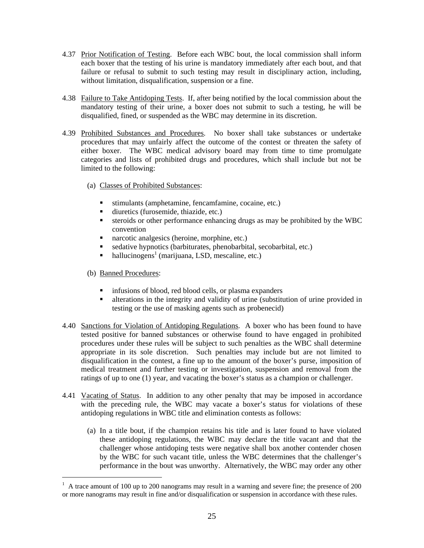- 4.37 Prior Notification of Testing. Before each WBC bout, the local commission shall inform each boxer that the testing of his urine is mandatory immediately after each bout, and that failure or refusal to submit to such testing may result in disciplinary action, including, without limitation, disqualification, suspension or a fine.
- 4.38 Failure to Take Antidoping Tests. If, after being notified by the local commission about the mandatory testing of their urine, a boxer does not submit to such a testing, he will be disqualified, fined, or suspended as the WBC may determine in its discretion.
- 4.39 Prohibited Substances and Procedures. No boxer shall take substances or undertake procedures that may unfairly affect the outcome of the contest or threaten the safety of either boxer. The WBC medical advisory board may from time to time promulgate categories and lists of prohibited drugs and procedures, which shall include but not be limited to the following:
	- (a) Classes of Prohibited Substances:
		- stimulants (amphetamine, fencamfamine, cocaine, etc.)
		- diuretics (furosemide, thiazide, etc.)
		- steroids or other performance enhancing drugs as may be prohibited by the WBC convention
		- narcotic analgesics (heroine, morphine, etc.)
		- sedative hypnotics (barbiturates, phenobarbital, secobarbital, etc.)
		- $\blacksquare$  hallucinogens<sup>1</sup> (marijuana, LSD, mescaline, etc.)

### (b) Banned Procedures:

- $\blacksquare$  infusions of blood, red blood cells, or plasma expanders
- alterations in the integrity and validity of urine (substitution of urine provided in testing or the use of masking agents such as probenecid)
- 4.40 Sanctions for Violation of Antidoping Regulations. A boxer who has been found to have tested positive for banned substances or otherwise found to have engaged in prohibited procedures under these rules will be subject to such penalties as the WBC shall determine appropriate in its sole discretion. Such penalties may include but are not limited to disqualification in the contest, a fine up to the amount of the boxer's purse, imposition of medical treatment and further testing or investigation, suspension and removal from the ratings of up to one (1) year, and vacating the boxer's status as a champion or challenger.
- 4.41 Vacating of Status. In addition to any other penalty that may be imposed in accordance with the preceding rule, the WBC may vacate a boxer's status for violations of these antidoping regulations in WBC title and elimination contests as follows:
	- (a) In a title bout, if the champion retains his title and is later found to have violated these antidoping regulations, the WBC may declare the title vacant and that the challenger whose antidoping tests were negative shall box another contender chosen by the WBC for such vacant title, unless the WBC determines that the challenger's performance in the bout was unworthy. Alternatively, the WBC may order any other

<sup>&</sup>lt;sup>1</sup> A trace amount of 100 up to 200 nanograms may result in a warning and severe fine; the presence of 200 or more nanograms may result in fine and/or disqualification or suspension in accordance with these rules.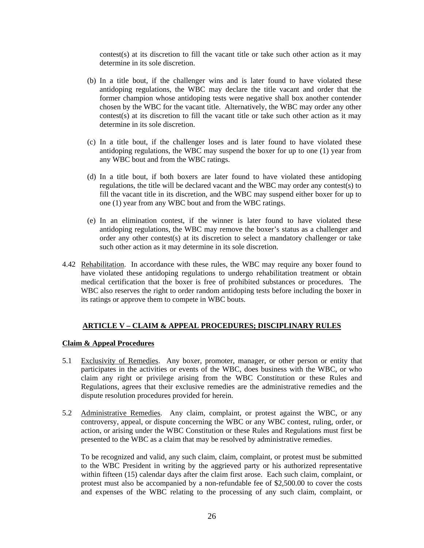contest(s) at its discretion to fill the vacant title or take such other action as it may determine in its sole discretion.

- (b) In a title bout, if the challenger wins and is later found to have violated these antidoping regulations, the WBC may declare the title vacant and order that the former champion whose antidoping tests were negative shall box another contender chosen by the WBC for the vacant title. Alternatively, the WBC may order any other contest(s) at its discretion to fill the vacant title or take such other action as it may determine in its sole discretion.
- (c) In a title bout, if the challenger loses and is later found to have violated these antidoping regulations, the WBC may suspend the boxer for up to one (1) year from any WBC bout and from the WBC ratings.
- (d) In a title bout, if both boxers are later found to have violated these antidoping regulations, the title will be declared vacant and the WBC may order any contest(s) to fill the vacant title in its discretion, and the WBC may suspend either boxer for up to one (1) year from any WBC bout and from the WBC ratings.
- (e) In an elimination contest, if the winner is later found to have violated these antidoping regulations, the WBC may remove the boxer's status as a challenger and order any other contest(s) at its discretion to select a mandatory challenger or take such other action as it may determine in its sole discretion.
- 4.42 Rehabilitation. In accordance with these rules, the WBC may require any boxer found to have violated these antidoping regulations to undergo rehabilitation treatment or obtain medical certification that the boxer is free of prohibited substances or procedures. The WBC also reserves the right to order random antidoping tests before including the boxer in its ratings or approve them to compete in WBC bouts.

# **ARTICLE V – CLAIM & APPEAL PROCEDURES; DISCIPLINARY RULES**

#### **Claim & Appeal Procedures**

- 5.1 Exclusivity of Remedies. Any boxer, promoter, manager, or other person or entity that participates in the activities or events of the WBC, does business with the WBC, or who claim any right or privilege arising from the WBC Constitution or these Rules and Regulations, agrees that their exclusive remedies are the administrative remedies and the dispute resolution procedures provided for herein.
- 5.2 Administrative Remedies. Any claim, complaint, or protest against the WBC, or any controversy, appeal, or dispute concerning the WBC or any WBC contest, ruling, order, or action, or arising under the WBC Constitution or these Rules and Regulations must first be presented to the WBC as a claim that may be resolved by administrative remedies.

 To be recognized and valid, any such claim, claim, complaint, or protest must be submitted to the WBC President in writing by the aggrieved party or his authorized representative within fifteen (15) calendar days after the claim first arose. Each such claim, complaint, or protest must also be accompanied by a non-refundable fee of \$2,500.00 to cover the costs and expenses of the WBC relating to the processing of any such claim, complaint, or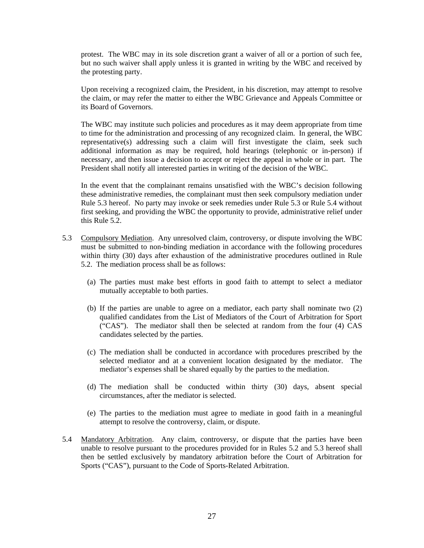protest. The WBC may in its sole discretion grant a waiver of all or a portion of such fee, but no such waiver shall apply unless it is granted in writing by the WBC and received by the protesting party.

 Upon receiving a recognized claim, the President, in his discretion, may attempt to resolve the claim, or may refer the matter to either the WBC Grievance and Appeals Committee or its Board of Governors.

 The WBC may institute such policies and procedures as it may deem appropriate from time to time for the administration and processing of any recognized claim. In general, the WBC representative(s) addressing such a claim will first investigate the claim, seek such additional information as may be required, hold hearings (telephonic or in-person) if necessary, and then issue a decision to accept or reject the appeal in whole or in part. The President shall notify all interested parties in writing of the decision of the WBC.

 In the event that the complainant remains unsatisfied with the WBC's decision following these administrative remedies, the complainant must then seek compulsory mediation under Rule 5.3 hereof. No party may invoke or seek remedies under Rule 5.3 or Rule 5.4 without first seeking, and providing the WBC the opportunity to provide, administrative relief under this Rule 5.2.

- 5.3 Compulsory Mediation. Any unresolved claim, controversy, or dispute involving the WBC must be submitted to non-binding mediation in accordance with the following procedures within thirty (30) days after exhaustion of the administrative procedures outlined in Rule 5.2. The mediation process shall be as follows:
	- (a) The parties must make best efforts in good faith to attempt to select a mediator mutually acceptable to both parties.
	- (b) If the parties are unable to agree on a mediator, each party shall nominate two (2) qualified candidates from the List of Mediators of the Court of Arbitration for Sport ("CAS"). The mediator shall then be selected at random from the four (4) CAS candidates selected by the parties.
	- (c) The mediation shall be conducted in accordance with procedures prescribed by the selected mediator and at a convenient location designated by the mediator. The mediator's expenses shall be shared equally by the parties to the mediation.
	- (d) The mediation shall be conducted within thirty (30) days, absent special circumstances, after the mediator is selected.
	- (e) The parties to the mediation must agree to mediate in good faith in a meaningful attempt to resolve the controversy, claim, or dispute.
- 5.4 Mandatory Arbitration. Any claim, controversy, or dispute that the parties have been unable to resolve pursuant to the procedures provided for in Rules 5.2 and 5.3 hereof shall then be settled exclusively by mandatory arbitration before the Court of Arbitration for Sports ("CAS"), pursuant to the Code of Sports-Related Arbitration.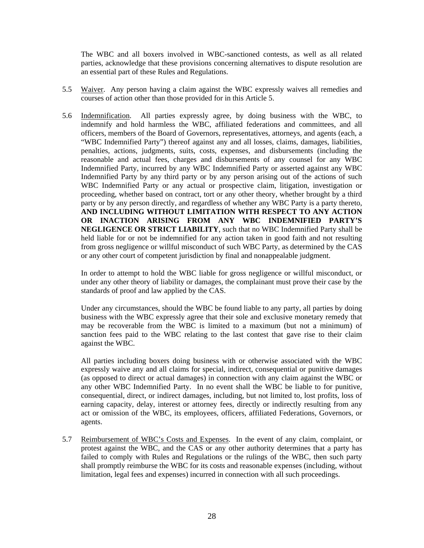The WBC and all boxers involved in WBC-sanctioned contests, as well as all related parties, acknowledge that these provisions concerning alternatives to dispute resolution are an essential part of these Rules and Regulations.

- 5.5 Waiver. Any person having a claim against the WBC expressly waives all remedies and courses of action other than those provided for in this Article 5.
- 5.6 Indemnification. All parties expressly agree, by doing business with the WBC, to indemnify and hold harmless the WBC, affiliated federations and committees, and all officers, members of the Board of Governors, representatives, attorneys, and agents (each, a "WBC Indemnified Party") thereof against any and all losses, claims, damages, liabilities, penalties, actions, judgments, suits, costs, expenses, and disbursements (including the reasonable and actual fees, charges and disbursements of any counsel for any WBC Indemnified Party, incurred by any WBC Indemnified Party or asserted against any WBC Indemnified Party by any third party or by any person arising out of the actions of such WBC Indemnified Party or any actual or prospective claim, litigation, investigation or proceeding, whether based on contract, tort or any other theory, whether brought by a third party or by any person directly, and regardless of whether any WBC Party is a party thereto, **AND INCLUDING WITHOUT LIMITATION WITH RESPECT TO ANY ACTION OR INACTION ARISING FROM ANY WBC INDEMNIFIED PARTY'S NEGLIGENCE OR STRICT LIABILITY**, such that no WBC Indemnified Party shall be held liable for or not be indemnified for any action taken in good faith and not resulting from gross negligence or willful misconduct of such WBC Party, as determined by the CAS or any other court of competent jurisdiction by final and nonappealable judgment.

 In order to attempt to hold the WBC liable for gross negligence or willful misconduct, or under any other theory of liability or damages, the complainant must prove their case by the standards of proof and law applied by the CAS.

 Under any circumstances, should the WBC be found liable to any party, all parties by doing business with the WBC expressly agree that their sole and exclusive monetary remedy that may be recoverable from the WBC is limited to a maximum (but not a minimum) of sanction fees paid to the WBC relating to the last contest that gave rise to their claim against the WBC.

 All parties including boxers doing business with or otherwise associated with the WBC expressly waive any and all claims for special, indirect, consequential or punitive damages (as opposed to direct or actual damages) in connection with any claim against the WBC or any other WBC Indemnified Party. In no event shall the WBC be liable to for punitive, consequential, direct, or indirect damages, including, but not limited to, lost profits, loss of earning capacity, delay, interest or attorney fees, directly or indirectly resulting from any act or omission of the WBC, its employees, officers, affiliated Federations, Governors, or agents.

5.7 Reimbursement of WBC's Costs and Expenses. In the event of any claim, complaint, or protest against the WBC, and the CAS or any other authority determines that a party has failed to comply with Rules and Regulations or the rulings of the WBC, then such party shall promptly reimburse the WBC for its costs and reasonable expenses (including, without limitation, legal fees and expenses) incurred in connection with all such proceedings.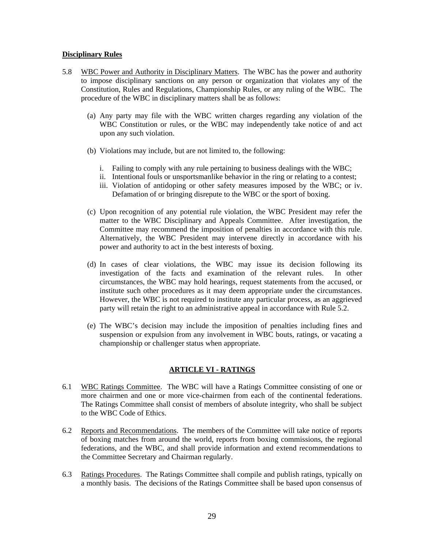#### **Disciplinary Rules**

- 5.8 WBC Power and Authority in Disciplinary Matters. The WBC has the power and authority to impose disciplinary sanctions on any person or organization that violates any of the Constitution, Rules and Regulations, Championship Rules, or any ruling of the WBC. The procedure of the WBC in disciplinary matters shall be as follows:
	- (a) Any party may file with the WBC written charges regarding any violation of the WBC Constitution or rules, or the WBC may independently take notice of and act upon any such violation.
	- (b) Violations may include, but are not limited to, the following:
		- i. Failing to comply with any rule pertaining to business dealings with the WBC;
		- ii. Intentional fouls or unsportsmanlike behavior in the ring or relating to a contest;
		- iii. Violation of antidoping or other safety measures imposed by the WBC; or iv. Defamation of or bringing disrepute to the WBC or the sport of boxing.
	- (c) Upon recognition of any potential rule violation, the WBC President may refer the matter to the WBC Disciplinary and Appeals Committee. After investigation, the Committee may recommend the imposition of penalties in accordance with this rule. Alternatively, the WBC President may intervene directly in accordance with his power and authority to act in the best interests of boxing.
	- (d) In cases of clear violations, the WBC may issue its decision following its investigation of the facts and examination of the relevant rules. In other circumstances, the WBC may hold hearings, request statements from the accused, or institute such other procedures as it may deem appropriate under the circumstances. However, the WBC is not required to institute any particular process, as an aggrieved party will retain the right to an administrative appeal in accordance with Rule 5.2.
	- (e) The WBC's decision may include the imposition of penalties including fines and suspension or expulsion from any involvement in WBC bouts, ratings, or vacating a championship or challenger status when appropriate.

### **ARTICLE VI - RATINGS**

- 6.1 WBC Ratings Committee. The WBC will have a Ratings Committee consisting of one or more chairmen and one or more vice-chairmen from each of the continental federations. The Ratings Committee shall consist of members of absolute integrity, who shall be subject to the WBC Code of Ethics.
- 6.2 Reports and Recommendations. The members of the Committee will take notice of reports of boxing matches from around the world, reports from boxing commissions, the regional federations, and the WBC, and shall provide information and extend recommendations to the Committee Secretary and Chairman regularly.
- 6.3 Ratings Procedures. The Ratings Committee shall compile and publish ratings, typically on a monthly basis. The decisions of the Ratings Committee shall be based upon consensus of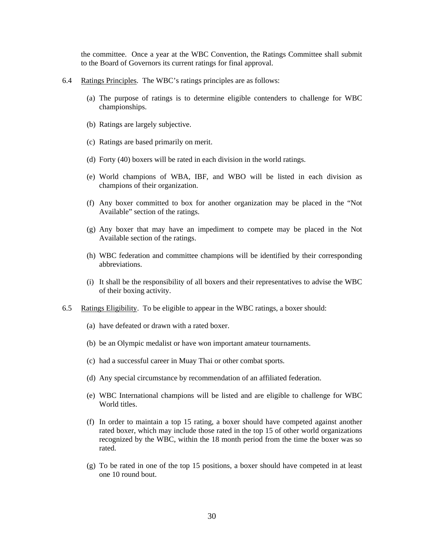the committee. Once a year at the WBC Convention, the Ratings Committee shall submit to the Board of Governors its current ratings for final approval.

- 6.4 Ratings Principles. The WBC's ratings principles are as follows:
	- (a) The purpose of ratings is to determine eligible contenders to challenge for WBC championships.
	- (b) Ratings are largely subjective.
	- (c) Ratings are based primarily on merit.
	- (d) Forty (40) boxers will be rated in each division in the world ratings.
	- (e) World champions of WBA, IBF, and WBO will be listed in each division as champions of their organization.
	- (f) Any boxer committed to box for another organization may be placed in the "Not Available" section of the ratings.
	- (g) Any boxer that may have an impediment to compete may be placed in the Not Available section of the ratings.
	- (h) WBC federation and committee champions will be identified by their corresponding abbreviations.
	- (i) It shall be the responsibility of all boxers and their representatives to advise the WBC of their boxing activity.
- 6.5 Ratings Eligibility. To be eligible to appear in the WBC ratings, a boxer should:
	- (a) have defeated or drawn with a rated boxer.
	- (b) be an Olympic medalist or have won important amateur tournaments.
	- (c) had a successful career in Muay Thai or other combat sports.
	- (d) Any special circumstance by recommendation of an affiliated federation.
	- (e) WBC International champions will be listed and are eligible to challenge for WBC World titles.
	- (f) In order to maintain a top 15 rating, a boxer should have competed against another rated boxer, which may include those rated in the top 15 of other world organizations recognized by the WBC, within the 18 month period from the time the boxer was so rated.
	- (g) To be rated in one of the top 15 positions, a boxer should have competed in at least one 10 round bout.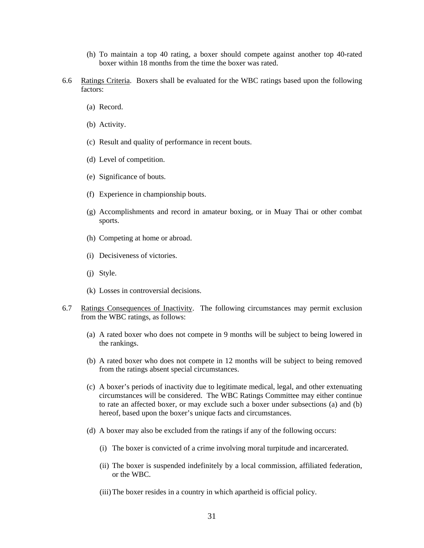- (h) To maintain a top 40 rating, a boxer should compete against another top 40-rated boxer within 18 months from the time the boxer was rated.
- 6.6 Ratings Criteria. Boxers shall be evaluated for the WBC ratings based upon the following factors:
	- (a) Record.
	- (b) Activity.
	- (c) Result and quality of performance in recent bouts.
	- (d) Level of competition.
	- (e) Significance of bouts.
	- (f) Experience in championship bouts.
	- (g) Accomplishments and record in amateur boxing, or in Muay Thai or other combat sports.
	- (h) Competing at home or abroad.
	- (i) Decisiveness of victories.
	- (j) Style.
	- (k) Losses in controversial decisions.
- 6.7 Ratings Consequences of Inactivity. The following circumstances may permit exclusion from the WBC ratings, as follows:
	- (a) A rated boxer who does not compete in 9 months will be subject to being lowered in the rankings.
	- (b) A rated boxer who does not compete in 12 months will be subject to being removed from the ratings absent special circumstances.
	- (c) A boxer's periods of inactivity due to legitimate medical, legal, and other extenuating circumstances will be considered. The WBC Ratings Committee may either continue to rate an affected boxer, or may exclude such a boxer under subsections (a) and (b) hereof, based upon the boxer's unique facts and circumstances.
	- (d) A boxer may also be excluded from the ratings if any of the following occurs:
		- (i) The boxer is convicted of a crime involving moral turpitude and incarcerated.
		- (ii) The boxer is suspended indefinitely by a local commission, affiliated federation, or the WBC.
		- (iii)The boxer resides in a country in which apartheid is official policy.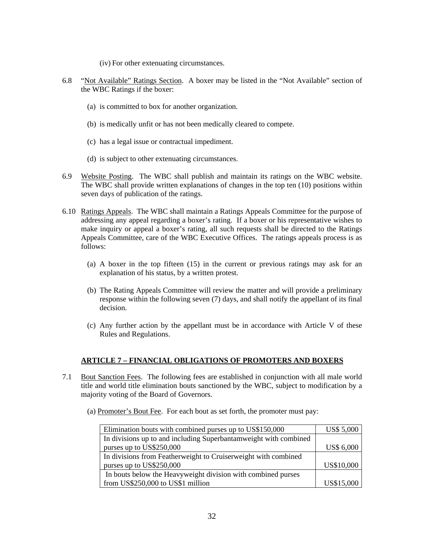- (iv) For other extenuating circumstances.
- 6.8 "Not Available" Ratings Section. A boxer may be listed in the "Not Available" section of the WBC Ratings if the boxer:
	- (a) is committed to box for another organization.
	- (b) is medically unfit or has not been medically cleared to compete.
	- (c) has a legal issue or contractual impediment.
	- (d) is subject to other extenuating circumstances.
- 6.9 Website Posting. The WBC shall publish and maintain its ratings on the WBC website. The WBC shall provide written explanations of changes in the top ten (10) positions within seven days of publication of the ratings.
- 6.10 Ratings Appeals. The WBC shall maintain a Ratings Appeals Committee for the purpose of addressing any appeal regarding a boxer's rating. If a boxer or his representative wishes to make inquiry or appeal a boxer's rating, all such requests shall be directed to the Ratings Appeals Committee, care of the WBC Executive Offices. The ratings appeals process is as follows:
	- (a) A boxer in the top fifteen (15) in the current or previous ratings may ask for an explanation of his status, by a written protest.
	- (b) The Rating Appeals Committee will review the matter and will provide a preliminary response within the following seven (7) days, and shall notify the appellant of its final decision.
	- (c) Any further action by the appellant must be in accordance with Article V of these Rules and Regulations.

# **ARTICLE 7 – FINANCIAL OBLIGATIONS OF PROMOTERS AND BOXERS**

- 7.1 Bout Sanction Fees. The following fees are established in conjunction with all male world title and world title elimination bouts sanctioned by the WBC, subject to modification by a majority voting of the Board of Governors.
	- (a) Promoter's Bout Fee. For each bout as set forth, the promoter must pay:

| Elimination bouts with combined purses up to US\$150,000         | <b>US\$ 5,000</b> |
|------------------------------------------------------------------|-------------------|
| In divisions up to and including Superbantamweight with combined |                   |
| purses up to US\$250,000                                         | <b>US\$ 6,000</b> |
| In divisions from Featherweight to Cruiserweight with combined   |                   |
| purses up to US\$250,000                                         | US\$10,000        |
| In bouts below the Heavyweight division with combined purses     |                   |
| from US\$250,000 to US\$1 million                                | US\$15,000        |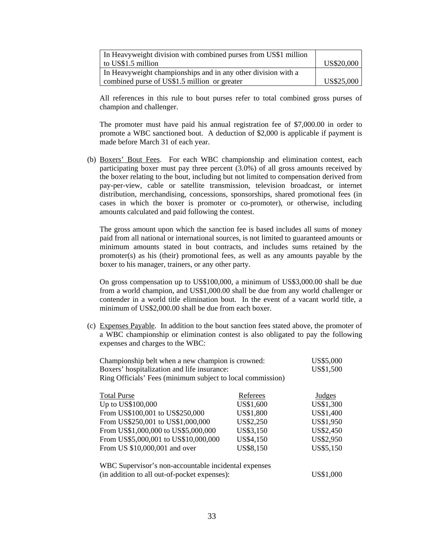| In Heavy weight division with combined purses from US\$1 million |            |
|------------------------------------------------------------------|------------|
| to US\$1.5 million                                               | US\$20,000 |
| In Heavy weight championships and in any other division with a   |            |
| combined purse of US\$1.5 million or greater                     | US\$25,000 |

 All references in this rule to bout purses refer to total combined gross purses of champion and challenger.

The promoter must have paid his annual registration fee of \$7,000.00 in order to promote a WBC sanctioned bout. A deduction of \$2,000 is applicable if payment is made before March 31 of each year.

(b) Boxers' Bout Fees. For each WBC championship and elimination contest, each participating boxer must pay three percent (3.0%) of all gross amounts received by the boxer relating to the bout, including but not limited to compensation derived from pay-per-view, cable or satellite transmission, television broadcast, or internet distribution, merchandising, concessions, sponsorships, shared promotional fees (in cases in which the boxer is promoter or co-promoter), or otherwise, including amounts calculated and paid following the contest.

 The gross amount upon which the sanction fee is based includes all sums of money paid from all national or international sources, is not limited to guaranteed amounts or minimum amounts stated in bout contracts, and includes sums retained by the promoter(s) as his (their) promotional fees, as well as any amounts payable by the boxer to his manager, trainers, or any other party.

On gross compensation up to US\$100,000, a minimum of US\$3,000.00 shall be due from a world champion, and US\$1,000.00 shall be due from any world challenger or contender in a world title elimination bout. In the event of a vacant world title, a minimum of US\$2,000.00 shall be due from each boxer.

(c) Expenses Payable. In addition to the bout sanction fees stated above, the promoter of a WBC championship or elimination contest is also obligated to pay the following expenses and charges to the WBC:

| Championship belt when a new champion is crowned:<br>Boxers' hospitalization and life insurance: |           | US\$5,000<br>US\$1,500 |
|--------------------------------------------------------------------------------------------------|-----------|------------------------|
| Ring Officials' Fees (minimum subject to local commission)                                       |           |                        |
| <b>Total Purse</b>                                                                               | Referees  | <b>Judges</b>          |
| Up to US\$100,000                                                                                | US\$1,600 | US\$1,300              |
| From US\$100,001 to US\$250,000                                                                  | US\$1,800 | US\$1,400              |
| From US\$250,001 to US\$1,000,000                                                                | US\$2,250 | US\$1,950              |
| From US\$1,000,000 to US\$5,000,000                                                              | US\$3,150 | US\$2,450              |
| From US\$5,000,001 to US\$10,000,000                                                             | US\$4,150 | US\$2,950              |
| From US \$10,000,001 and over                                                                    | US\$8,150 | US\$5,150              |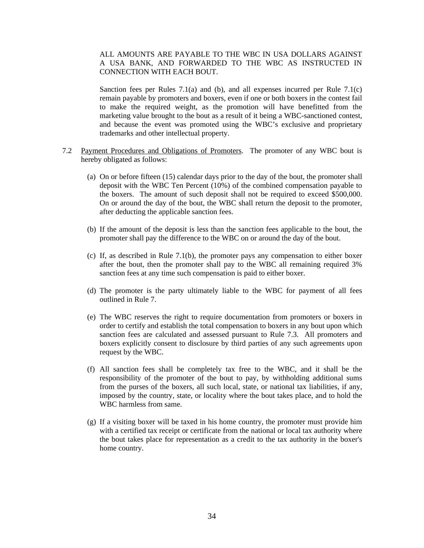### ALL AMOUNTS ARE PAYABLE TO THE WBC IN USA DOLLARS AGAINST A USA BANK, AND FORWARDED TO THE WBC AS INSTRUCTED IN CONNECTION WITH EACH BOUT.

Sanction fees per Rules 7.1(a) and (b), and all expenses incurred per Rule 7.1(c) remain payable by promoters and boxers, even if one or both boxers in the contest fail to make the required weight, as the promotion will have benefitted from the marketing value brought to the bout as a result of it being a WBC-sanctioned contest, and because the event was promoted using the WBC's exclusive and proprietary trademarks and other intellectual property.

- 7.2 Payment Procedures and Obligations of Promoters. The promoter of any WBC bout is hereby obligated as follows:
	- (a) On or before fifteen (15) calendar days prior to the day of the bout, the promoter shall deposit with the WBC Ten Percent (10%) of the combined compensation payable to the boxers. The amount of such deposit shall not be required to exceed \$500,000. On or around the day of the bout, the WBC shall return the deposit to the promoter, after deducting the applicable sanction fees.
	- (b) If the amount of the deposit is less than the sanction fees applicable to the bout, the promoter shall pay the difference to the WBC on or around the day of the bout.
	- (c) If, as described in Rule 7.1(b), the promoter pays any compensation to either boxer after the bout, then the promoter shall pay to the WBC all remaining required 3% sanction fees at any time such compensation is paid to either boxer.
	- (d) The promoter is the party ultimately liable to the WBC for payment of all fees outlined in Rule 7.
	- (e) The WBC reserves the right to require documentation from promoters or boxers in order to certify and establish the total compensation to boxers in any bout upon which sanction fees are calculated and assessed pursuant to Rule 7.3. All promoters and boxers explicitly consent to disclosure by third parties of any such agreements upon request by the WBC.
	- (f) All sanction fees shall be completely tax free to the WBC, and it shall be the responsibility of the promoter of the bout to pay, by withholding additional sums from the purses of the boxers, all such local, state, or national tax liabilities, if any, imposed by the country, state, or locality where the bout takes place, and to hold the WBC harmless from same.
	- (g) If a visiting boxer will be taxed in his home country, the promoter must provide him with a certified tax receipt or certificate from the national or local tax authority where the bout takes place for representation as a credit to the tax authority in the boxer's home country.